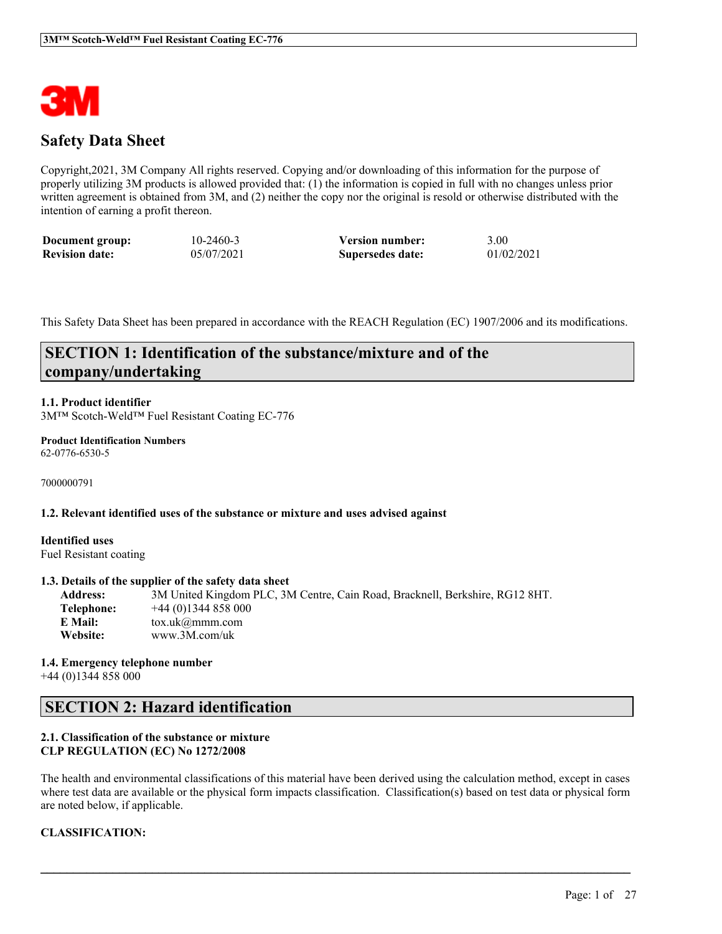

# **Safety Data Sheet**

Copyright,2021, 3M Company All rights reserved. Copying and/or downloading of this information for the purpose of properly utilizing 3M products is allowed provided that: (1) the information is copied in full with no changes unless prior written agreement is obtained from 3M, and (2) neither the copy nor the original is resold or otherwise distributed with the intention of earning a profit thereon.

| Document group:       | 10-2460-3  | <b>Version number:</b> | 3.00       |
|-----------------------|------------|------------------------|------------|
| <b>Revision date:</b> | 05/07/2021 | Supersedes date:       | 01/02/2021 |

This Safety Data Sheet has been prepared in accordance with the REACH Regulation (EC) 1907/2006 and its modifications.

# **SECTION 1: Identification of the substance/mixture and of the company/undertaking**

# **1.1. Product identifier**

3M™ Scotch-Weld™ Fuel Resistant Coating EC-776

#### **Product Identification Numbers** 62-0776-6530-5

7000000791

#### **1.2. Relevant identified uses of the substance or mixture and uses advised against**

**Identified uses** Fuel Resistant coating

#### **1.3. Details of the supplier of the safety data sheet**

**Address:** 3M United Kingdom PLC, 3M Centre, Cain Road, Bracknell, Berkshire, RG12 8HT. **Telephone:** +44 (0)1344 858 000 **E Mail:** tox.uk@mmm.com **Website:** www.3M.com/uk

**1.4. Emergency telephone number** +44 (0)1344 858 000

# **SECTION 2: Hazard identification**

# **2.1. Classification of the substance or mixture CLP REGULATION (EC) No 1272/2008**

The health and environmental classifications of this material have been derived using the calculation method, except in cases where test data are available or the physical form impacts classification. Classification(s) based on test data or physical form are noted below, if applicable.

 $\mathcal{L}_\mathcal{L} = \mathcal{L}_\mathcal{L} = \mathcal{L}_\mathcal{L} = \mathcal{L}_\mathcal{L} = \mathcal{L}_\mathcal{L} = \mathcal{L}_\mathcal{L} = \mathcal{L}_\mathcal{L} = \mathcal{L}_\mathcal{L} = \mathcal{L}_\mathcal{L} = \mathcal{L}_\mathcal{L} = \mathcal{L}_\mathcal{L} = \mathcal{L}_\mathcal{L} = \mathcal{L}_\mathcal{L} = \mathcal{L}_\mathcal{L} = \mathcal{L}_\mathcal{L} = \mathcal{L}_\mathcal{L} = \mathcal{L}_\mathcal{L}$ 

# **CLASSIFICATION:**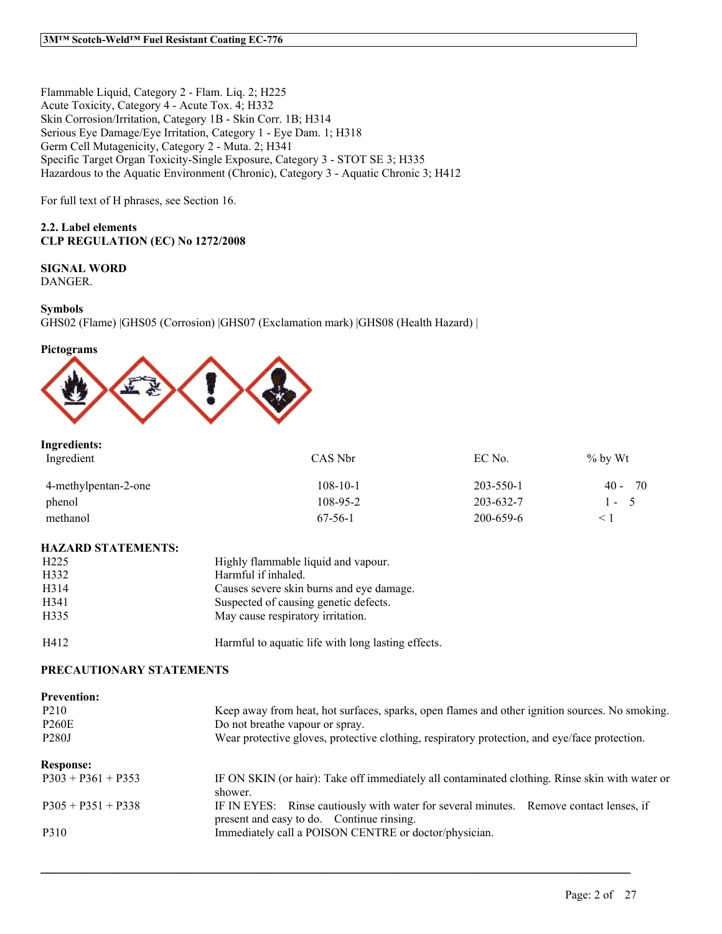Flammable Liquid, Category 2 - Flam. Liq. 2; H225 Acute Toxicity, Category 4 - Acute Tox. 4; H332 Skin Corrosion/Irritation, Category 1B - Skin Corr. 1B; H314 Serious Eye Damage/Eye Irritation, Category 1 - Eye Dam. 1; H318 Germ Cell Mutagenicity, Category 2 - Muta. 2; H341 Specific Target Organ Toxicity-Single Exposure, Category 3 - STOT SE 3; H335 Hazardous to the Aquatic Environment (Chronic), Category 3 - Aquatic Chronic 3; H412

For full text of H phrases, see Section 16.

# **2.2. Label elements CLP REGULATION (EC) No 1272/2008**

# **SIGNAL WORD**

DANGER.

# **Symbols**

GHS02 (Flame) |GHS05 (Corrosion) |GHS07 (Exclamation mark) |GHS08 (Health Hazard) |

# **Pictograms**



# **Ingredients:**

| Ingredient           | CAS Nbr        | EC No.          | $\%$ by Wt     |
|----------------------|----------------|-----------------|----------------|
| 4-methylpentan-2-one | $108 - 10 - 1$ | 203-550-1       | - 70<br>$40 -$ |
| phenol               | $108 - 95 - 2$ | $203 - 632 - 7$ | $1 - 5$        |
| methanol             | $67-56-1$      | 200-659-6       |                |

## **HAZARD STATEMENTS:**

| H <sub>225</sub> | Highly flammable liquid and vapour.                |
|------------------|----------------------------------------------------|
| H332             | Harmful if inhaled.                                |
| H314             | Causes severe skin burns and eye damage.           |
| H <sub>341</sub> | Suspected of causing genetic defects.              |
| H335             | May cause respiratory irritation.                  |
| H412             | Harmful to aquatic life with long lasting effects. |

## **PRECAUTIONARY STATEMENTS**

| <b>Prevention:</b><br>P <sub>2</sub> 10<br><b>P260E</b><br>P <sub>280</sub> J | Keep away from heat, hot surfaces, sparks, open flames and other ignition sources. No smoking.<br>Do not breathe vapour or spray.<br>Wear protective gloves, protective clothing, respiratory protection, and eye/face protection. |
|-------------------------------------------------------------------------------|------------------------------------------------------------------------------------------------------------------------------------------------------------------------------------------------------------------------------------|
| <b>Response:</b>                                                              |                                                                                                                                                                                                                                    |
| $P303 + P361 + P353$                                                          | IF ON SKIN (or hair): Take off immediately all contaminated clothing. Rinse skin with water or<br>shower.                                                                                                                          |
| $P305 + P351 + P338$                                                          | IF IN EYES: Rinse cautiously with water for several minutes. Remove contact lenses, if<br>present and easy to do. Continue rinsing.                                                                                                |
| P310                                                                          | Immediately call a POISON CENTRE or doctor/physician.                                                                                                                                                                              |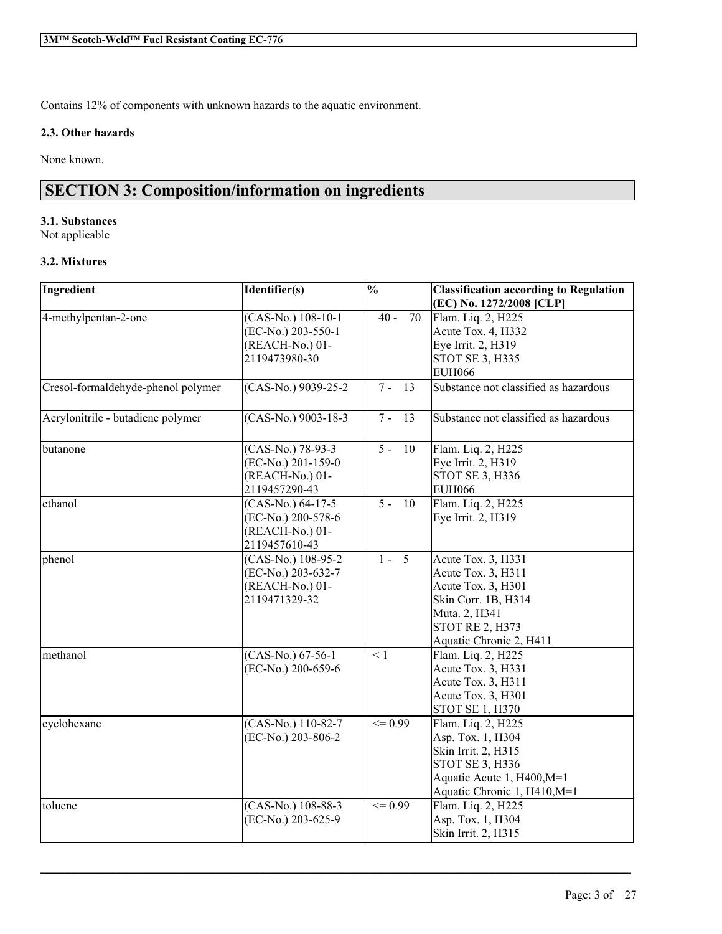Contains 12% of components with unknown hazards to the aquatic environment.

# **2.3. Other hazards**

None known.

# **SECTION 3: Composition/information on ingredients**

# **3.1. Substances**

Not applicable

# **3.2. Mixtures**

| Ingredient                         | Identifier(s)                                                                 | $\overline{\frac{0}{0}}$ | <b>Classification according to Regulation</b><br>(EC) No. 1272/2008 [CLP]                                                                                   |
|------------------------------------|-------------------------------------------------------------------------------|--------------------------|-------------------------------------------------------------------------------------------------------------------------------------------------------------|
| 4-methylpentan-2-one               | (CAS-No.) 108-10-1<br>(EC-No.) 203-550-1<br>(REACH-No.) 01-<br>2119473980-30  | $40 -$<br>70             | Flam. Liq. 2, H225<br>Acute Tox. 4, H332<br>Eye Irrit. 2, H319<br>STOT SE 3, H335<br><b>EUH066</b>                                                          |
| Cresol-formaldehyde-phenol polymer | (CAS-No.) 9039-25-2                                                           | $7 - 13$                 | Substance not classified as hazardous                                                                                                                       |
| Acrylonitrile - butadiene polymer  | $(CAS-N0.)$ 9003-18-3                                                         | 13<br>$7 -$              | Substance not classified as hazardous                                                                                                                       |
| butanone                           | (CAS-No.) 78-93-3<br>(EC-No.) 201-159-0<br>(REACH-No.) 01-<br>2119457290-43   | $5 -$<br>10              | Flam. Liq. 2, H225<br>Eye Irrit. 2, H319<br>STOT SE 3, H336<br><b>EUH066</b>                                                                                |
| ethanol                            | $(CAS-No.) 64-17-5$<br>(EC-No.) 200-578-6<br>(REACH-No.) 01-<br>2119457610-43 | $5 -$<br>10              | Flam. Liq. 2, H225<br>Eye Irrit. 2, H319                                                                                                                    |
| phenol                             | (CAS-No.) 108-95-2<br>(EC-No.) 203-632-7<br>(REACH-No.) 01-<br>2119471329-32  | $1 - \overline{5}$       | Acute Tox. 3, H331<br>Acute Tox. 3, H311<br>Acute Tox. 3, H301<br>Skin Corr. 1B, H314<br>Muta. 2, H341<br><b>STOT RE 2, H373</b><br>Aquatic Chronic 2, H411 |
| methanol                           | $(CAS-No.) 67-56-1$<br>(EC-No.) 200-659-6                                     | $\leq 1$                 | Flam. Liq. 2, H225<br>Acute Tox. 3, H331<br>Acute Tox. 3, H311<br>Acute Tox. 3, H301<br>STOT SE 1, H370                                                     |
| cyclohexane                        | (CAS-No.) 110-82-7<br>(EC-No.) 203-806-2                                      | $\leq 0.99$              | Flam. Liq. 2, H225<br>Asp. Tox. 1, H304<br>Skin Irrit. 2, H315<br><b>STOT SE 3, H336</b><br>Aquatic Acute 1, H400, M=1<br>Aquatic Chronic 1, H410, M=1      |
| toluene                            | (CAS-No.) 108-88-3<br>(EC-No.) 203-625-9                                      | $\leq 0.99$              | Flam. Liq. 2, H225<br>Asp. Tox. 1, H304<br>Skin Irrit. 2, H315                                                                                              |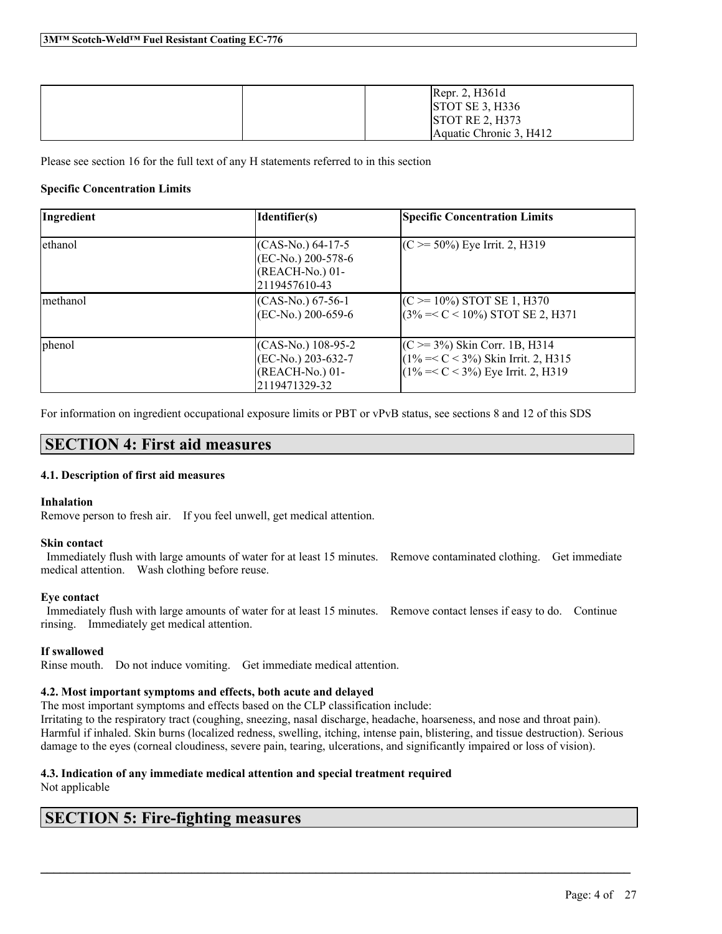| [Repr. 2, H361d]<br>STOTSE 3, H336        |
|-------------------------------------------|
| STOTRE 2, H373<br>Aquatic Chronic 3, H412 |

Please see section 16 for the full text of any H statements referred to in this section

# **Specific Concentration Limits**

| Ingredient | Identifier(s)                                                                 | <b>Specific Concentration Limits</b>                                                                                       |
|------------|-------------------------------------------------------------------------------|----------------------------------------------------------------------------------------------------------------------------|
| ethanol    | $(CAS-N0.) 64-17-5$<br>(EC-No.) 200-578-6<br>(REACH-No.) 01-<br>2119457610-43 | $(C \ge 50\%)$ Eye Irrit. 2, H319                                                                                          |
| methanol   | $(CAS-N0)$ 67-56-1<br>$(EC-No.) 200-659-6$                                    | $(C \ge 10\%)$ STOT SE 1, H370<br>$(3\% = < C < 10\%)$ STOT SE 2, H371                                                     |
| phenol     | $(CAS-N0)$ 108-95-2<br>(EC-No.) 203-632-7<br>(REACH-No.) 01-<br>2119471329-32 | $(C \ge 3\%)$ Skin Corr. 1B, H314<br>$(1\% = < C < 3\%)$ Skin Irrit. 2, H315<br>$(1\%=<\mathrm{C}<3\%)$ Eye Irrit. 2, H319 |

For information on ingredient occupational exposure limits or PBT or vPvB status, see sections 8 and 12 of this SDS

# **SECTION 4: First aid measures**

## **4.1. Description of first aid measures**

## **Inhalation**

Remove person to fresh air. If you feel unwell, get medical attention.

## **Skin contact**

Immediately flush with large amounts of water for at least 15 minutes. Remove contaminated clothing. Get immediate medical attention. Wash clothing before reuse.

## **Eye contact**

Immediately flush with large amounts of water for at least 15 minutes. Remove contact lenses if easy to do. Continue rinsing. Immediately get medical attention.

# **If swallowed**

Rinse mouth. Do not induce vomiting. Get immediate medical attention.

## **4.2. Most important symptoms and effects, both acute and delayed**

The most important symptoms and effects based on the CLP classification include:

Irritating to the respiratory tract (coughing, sneezing, nasal discharge, headache, hoarseness, and nose and throat pain). Harmful if inhaled. Skin burns (localized redness, swelling, itching, intense pain, blistering, and tissue destruction). Serious damage to the eyes (corneal cloudiness, severe pain, tearing, ulcerations, and significantly impaired or loss of vision).

 $\mathcal{L}_\mathcal{L} = \mathcal{L}_\mathcal{L} = \mathcal{L}_\mathcal{L} = \mathcal{L}_\mathcal{L} = \mathcal{L}_\mathcal{L} = \mathcal{L}_\mathcal{L} = \mathcal{L}_\mathcal{L} = \mathcal{L}_\mathcal{L} = \mathcal{L}_\mathcal{L} = \mathcal{L}_\mathcal{L} = \mathcal{L}_\mathcal{L} = \mathcal{L}_\mathcal{L} = \mathcal{L}_\mathcal{L} = \mathcal{L}_\mathcal{L} = \mathcal{L}_\mathcal{L} = \mathcal{L}_\mathcal{L} = \mathcal{L}_\mathcal{L}$ 

# **4.3. Indication of any immediate medical attention and special treatment required**

Not applicable

# **SECTION 5: Fire-fighting measures**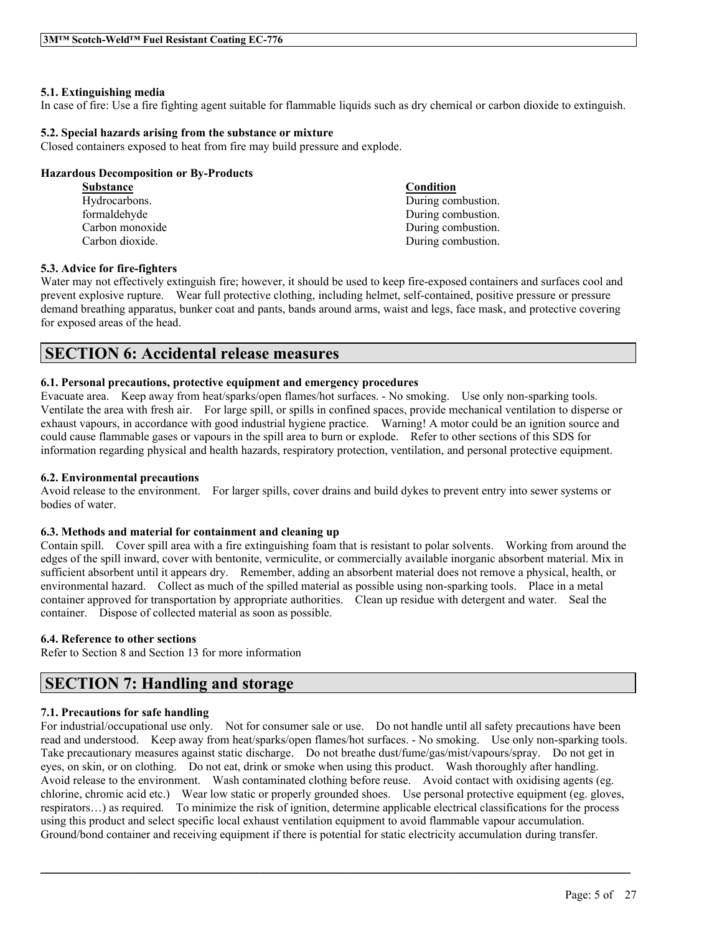# **5.1. Extinguishing media**

In case of fire: Use a fire fighting agent suitable for flammable liquids such as dry chemical or carbon dioxide to extinguish.

# **5.2. Special hazards arising from the substance or mixture**

Closed containers exposed to heat from fire may build pressure and explode.

# **Hazardous Decomposition or By-Products**

| <b>Substance</b> | Condition          |
|------------------|--------------------|
| Hydrocarbons.    | During combustion. |
| formaldehyde     | During combustion. |
| Carbon monoxide  | During combustion. |
| Carbon dioxide.  | During combustion. |

## **5.3. Advice for fire-fighters**

Water may not effectively extinguish fire; however, it should be used to keep fire-exposed containers and surfaces cool and prevent explosive rupture. Wear full protective clothing, including helmet, self-contained, positive pressure or pressure demand breathing apparatus, bunker coat and pants, bands around arms, waist and legs, face mask, and protective covering for exposed areas of the head.

# **SECTION 6: Accidental release measures**

# **6.1. Personal precautions, protective equipment and emergency procedures**

Evacuate area. Keep away from heat/sparks/open flames/hot surfaces. - No smoking. Use only non-sparking tools. Ventilate the area with fresh air. For large spill, or spills in confined spaces, provide mechanical ventilation to disperse or exhaust vapours, in accordance with good industrial hygiene practice. Warning! A motor could be an ignition source and could cause flammable gases or vapours in the spill area to burn or explode. Refer to other sections of this SDS for information regarding physical and health hazards, respiratory protection, ventilation, and personal protective equipment.

# **6.2. Environmental precautions**

Avoid release to the environment. For larger spills, cover drains and build dykes to prevent entry into sewer systems or bodies of water.

## **6.3. Methods and material for containment and cleaning up**

Contain spill. Cover spill area with a fire extinguishing foam that is resistant to polar solvents. Working from around the edges of the spill inward, cover with bentonite, vermiculite, or commercially available inorganic absorbent material. Mix in sufficient absorbent until it appears dry. Remember, adding an absorbent material does not remove a physical, health, or environmental hazard. Collect as much of the spilled material as possible using non-sparking tools. Place in a metal container approved for transportation by appropriate authorities. Clean up residue with detergent and water. Seal the container. Dispose of collected material as soon as possible.

# **6.4. Reference to other sections**

Refer to Section 8 and Section 13 for more information

# **SECTION 7: Handling and storage**

# **7.1. Precautions for safe handling**

For industrial/occupational use only. Not for consumer sale or use. Do not handle until all safety precautions have been read and understood. Keep away from heat/sparks/open flames/hot surfaces. - No smoking. Use only non-sparking tools. Take precautionary measures against static discharge. Do not breathe dust/fume/gas/mist/vapours/spray. Do not get in eyes, on skin, or on clothing. Do not eat, drink or smoke when using this product. Wash thoroughly after handling. Avoid release to the environment. Wash contaminated clothing before reuse. Avoid contact with oxidising agents (eg. chlorine, chromic acid etc.) Wear low static or properly grounded shoes. Use personal protective equipment (eg. gloves, respirators…) as required. To minimize the risk of ignition, determine applicable electrical classifications for the process using this product and select specific local exhaust ventilation equipment to avoid flammable vapour accumulation. Ground/bond container and receiving equipment if there is potential for static electricity accumulation during transfer.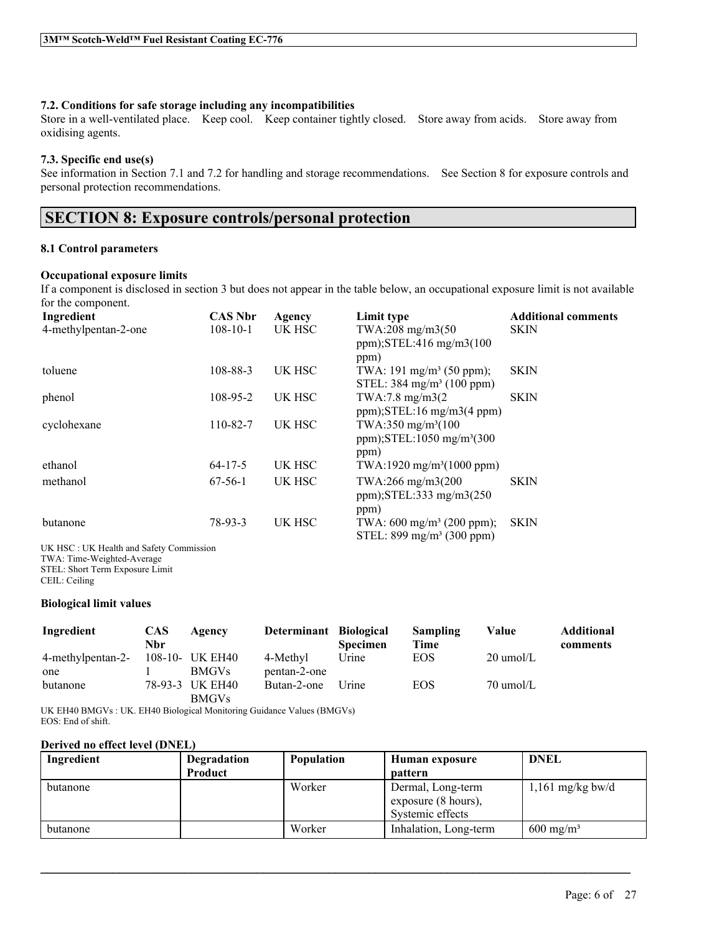# **7.2. Conditions for safe storage including any incompatibilities**

Store in a well-ventilated place. Keep cool. Keep container tightly closed. Store away from acids. Store away from oxidising agents.

# **7.3. Specific end use(s)**

See information in Section 7.1 and 7.2 for handling and storage recommendations. See Section 8 for exposure controls and personal protection recommendations.

# **SECTION 8: Exposure controls/personal protection**

# **8.1 Control parameters**

# **Occupational exposure limits**

If a component is disclosed in section 3 but does not appear in the table below, an occupational exposure limit is not available for the component.

| Ingredient           | <b>CAS Nbr</b> | Agency | Limit type                                                                           | <b>Additional comments</b> |
|----------------------|----------------|--------|--------------------------------------------------------------------------------------|----------------------------|
| 4-methylpentan-2-one | $108 - 10 - 1$ | UK HSC | TWA:208 mg/m3(50<br>ppm); $STEL:416$ mg/m $3(100$                                    | <b>SKIN</b>                |
| toluene              | 108-88-3       | UK HSC | ppm)<br>TWA: 191 mg/m <sup>3</sup> (50 ppm);<br>STEL: $384 \text{ mg/m}^3$ (100 ppm) | <b>SKIN</b>                |
| phenol               | 108-95-2       | UK HSC | TWA:7.8 mg/m3(2)<br>$ppm$ ); STEL:16 mg/m3(4 ppm)                                    | <b>SKIN</b>                |
| cyclohexane          | 110-82-7       | UK HSC | TWA:350 mg/m <sup>3</sup> (100)<br>ppm); $STEL:1050$ mg/m <sup>3</sup> (300<br>ppm)  |                            |
| ethanol              | $64 - 17 - 5$  | UK HSC | TWA:1920 mg/m <sup>3</sup> (1000 ppm)                                                |                            |
| methanol             | $67-56-1$      | UK HSC | TWA:266 mg/m3(200<br>ppm); $STEL:333$ mg/m $3(250)$<br>ppm)                          | <b>SKIN</b>                |
| butanone             | 78-93-3        | UK HSC | TWA: $600 \text{ mg/m}^3$ (200 ppm);<br>STEL: $899 \text{ mg/m}^3$ (300 ppm)         | <b>SKIN</b>                |

UK HSC : UK Health and Safety Commission TWA: Time-Weighted-Average STEL: Short Term Exposure Limit CEIL: Ceiling

## **Biological limit values**

| Ingredient        | <b>CAS</b><br>Nbr | Agency          | Determinant Biological | <b>Specimen</b> | Sampling<br>Time | Value               | <b>Additional</b><br>comments |
|-------------------|-------------------|-----------------|------------------------|-----------------|------------------|---------------------|-------------------------------|
| 4-methylpentan-2- |                   | 108-10- UK EH40 | 4-Methyl               | Urine           | EOS              | $20 \text{ umol/L}$ |                               |
| one               |                   | <b>BMGVs</b>    | pentan-2-one           |                 |                  |                     |                               |
| butanone          |                   | 78-93-3 UK EH40 | Butan-2-one            | Urine           | <b>EOS</b>       | $70 \text{ umol/L}$ |                               |
|                   |                   | <b>BMGVs</b>    |                        |                 |                  |                     |                               |

UK EH40 BMGVs : UK. EH40 Biological Monitoring Guidance Values (BMGVs) EOS: End of shift.

## **Derived no effect level (DNEL)**

| Ingredient | Degradation | <b>Population</b> | Human exposure                                               | <b>DNEL</b>          |
|------------|-------------|-------------------|--------------------------------------------------------------|----------------------|
|            | Product     |                   | <b>pattern</b>                                               |                      |
| butanone   |             | Worker            | Dermal, Long-term<br>exposure (8 hours),<br>Systemic effects | $1,161$ mg/kg bw/d   |
| butanone   |             | Worker            | Inhalation, Long-term                                        | $600 \text{ mg/m}^3$ |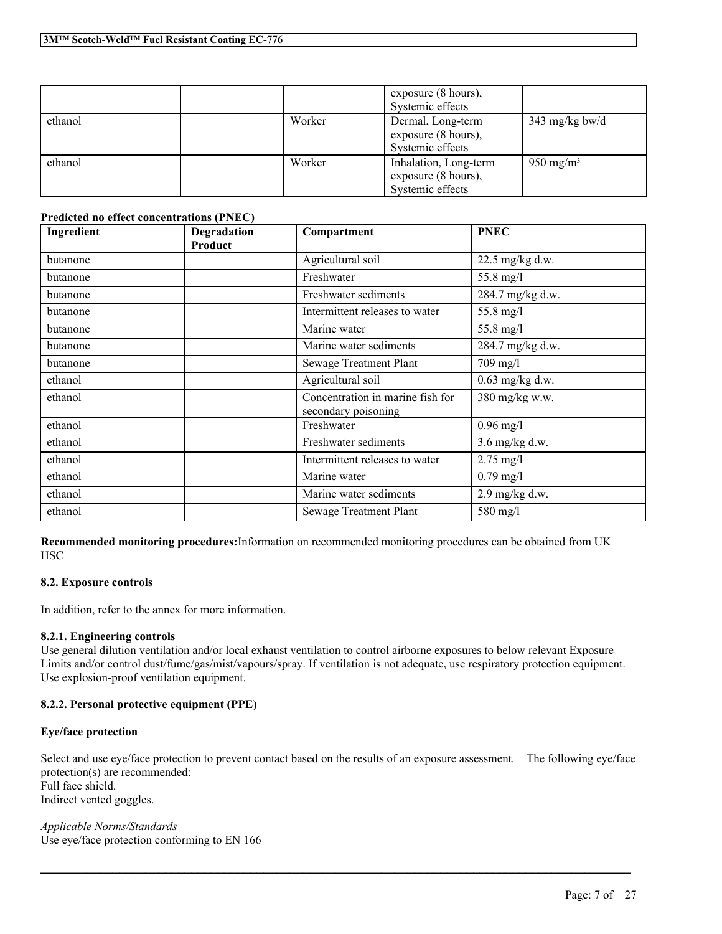|         |        | exposure (8 hours),<br>Systemic effects                          |                       |
|---------|--------|------------------------------------------------------------------|-----------------------|
| ethanol | Worker | Dermal, Long-term<br>exposure (8 hours),<br>Systemic effects     | 343 mg/kg bw/d        |
| ethanol | Worker | Inhalation, Long-term<br>exposure (8 hours),<br>Systemic effects | 950 mg/m <sup>3</sup> |

# **Predicted no effect concentrations (PNEC)**

| Ingredient | Degradation<br>Product | Compartment                                             | <b>PNEC</b>       |
|------------|------------------------|---------------------------------------------------------|-------------------|
| butanone   |                        | Agricultural soil                                       | 22.5 mg/kg d.w.   |
| butanone   |                        | Freshwater                                              | 55.8 mg/l         |
| butanone   |                        | Freshwater sediments                                    | 284.7 mg/kg d.w.  |
| butanone   |                        | Intermittent releases to water                          | 55.8 mg/l         |
| butanone   |                        | Marine water                                            | 55.8 mg/l         |
| butanone   |                        | Marine water sediments                                  | 284.7 mg/kg d.w.  |
| butanone   |                        | Sewage Treatment Plant                                  | $709$ mg/l        |
| ethanol    |                        | Agricultural soil                                       | $0.63$ mg/kg d.w. |
| ethanol    |                        | Concentration in marine fish for<br>secondary poisoning | 380 mg/kg w.w.    |
| ethanol    |                        | Freshwater                                              | $0.96$ mg/l       |
| ethanol    |                        | Freshwater sediments                                    | $3.6$ mg/kg d.w.  |
| ethanol    |                        | Intermittent releases to water                          | $2.75$ mg/l       |
| ethanol    |                        | Marine water                                            | $0.79$ mg/l       |
| ethanol    |                        | Marine water sediments                                  | 2.9 mg/kg d.w.    |
| ethanol    |                        | Sewage Treatment Plant                                  | 580 mg/l          |

**Recommended monitoring procedures:**Information on recommended monitoring procedures can be obtained from UK **HSC** 

# **8.2. Exposure controls**

In addition, refer to the annex for more information.

# **8.2.1. Engineering controls**

Use general dilution ventilation and/or local exhaust ventilation to control airborne exposures to below relevant Exposure Limits and/or control dust/fume/gas/mist/vapours/spray. If ventilation is not adequate, use respiratory protection equipment. Use explosion-proof ventilation equipment.

# **8.2.2. Personal protective equipment (PPE)**

# **Eye/face protection**

Select and use eye/face protection to prevent contact based on the results of an exposure assessment. The following eye/face protection(s) are recommended: Full face shield. Indirect vented goggles.

 $\mathcal{L}_\mathcal{L} = \mathcal{L}_\mathcal{L} = \mathcal{L}_\mathcal{L} = \mathcal{L}_\mathcal{L} = \mathcal{L}_\mathcal{L} = \mathcal{L}_\mathcal{L} = \mathcal{L}_\mathcal{L} = \mathcal{L}_\mathcal{L} = \mathcal{L}_\mathcal{L} = \mathcal{L}_\mathcal{L} = \mathcal{L}_\mathcal{L} = \mathcal{L}_\mathcal{L} = \mathcal{L}_\mathcal{L} = \mathcal{L}_\mathcal{L} = \mathcal{L}_\mathcal{L} = \mathcal{L}_\mathcal{L} = \mathcal{L}_\mathcal{L}$ 

*Applicable Norms/Standards* Use eye/face protection conforming to EN 166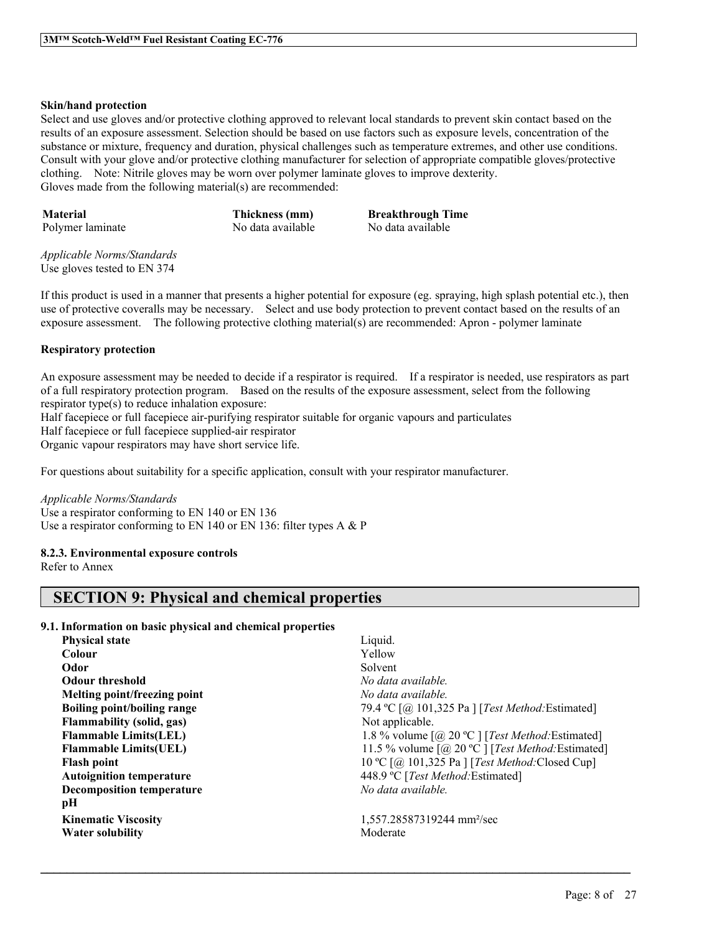# **Skin/hand protection**

Select and use gloves and/or protective clothing approved to relevant local standards to prevent skin contact based on the results of an exposure assessment. Selection should be based on use factors such as exposure levels, concentration of the substance or mixture, frequency and duration, physical challenges such as temperature extremes, and other use conditions. Consult with your glove and/or protective clothing manufacturer for selection of appropriate compatible gloves/protective clothing. Note: Nitrile gloves may be worn over polymer laminate gloves to improve dexterity. Gloves made from the following material(s) are recommended:

**Material Thickness (mm) Breakthrough Time** Polymer laminate No data available No data available

*Applicable Norms/Standards* Use gloves tested to EN 374

If this product is used in a manner that presents a higher potential for exposure (eg. spraying, high splash potential etc.), then use of protective coveralls may be necessary. Select and use body protection to prevent contact based on the results of an exposure assessment. The following protective clothing material(s) are recommended: Apron - polymer laminate

# **Respiratory protection**

An exposure assessment may be needed to decide if a respirator is required. If a respirator is needed, use respirators as part of a full respiratory protection program. Based on the results of the exposure assessment, select from the following respirator type(s) to reduce inhalation exposure:

 $\mathcal{L}_\mathcal{L} = \mathcal{L}_\mathcal{L} = \mathcal{L}_\mathcal{L} = \mathcal{L}_\mathcal{L} = \mathcal{L}_\mathcal{L} = \mathcal{L}_\mathcal{L} = \mathcal{L}_\mathcal{L} = \mathcal{L}_\mathcal{L} = \mathcal{L}_\mathcal{L} = \mathcal{L}_\mathcal{L} = \mathcal{L}_\mathcal{L} = \mathcal{L}_\mathcal{L} = \mathcal{L}_\mathcal{L} = \mathcal{L}_\mathcal{L} = \mathcal{L}_\mathcal{L} = \mathcal{L}_\mathcal{L} = \mathcal{L}_\mathcal{L}$ 

Half facepiece or full facepiece air-purifying respirator suitable for organic vapours and particulates

Half facepiece or full facepiece supplied-air respirator

Organic vapour respirators may have short service life.

For questions about suitability for a specific application, consult with your respirator manufacturer.

## *Applicable Norms/Standards*

Use a respirator conforming to EN 140 or EN 136 Use a respirator conforming to EN 140 or EN 136: filter types A & P

# **8.2.3. Environmental exposure controls**

Refer to Annex

# **SECTION 9: Physical and chemical properties**

# **9.1. Information on basic physical and chemical properties**

| <b>Physical state</b>              | Liquid.                      |
|------------------------------------|------------------------------|
| Colour                             | Yellow                       |
| Odor                               | Solvent                      |
| <b>Odour threshold</b>             | No data a                    |
| Melting point/freezing point       | No data a                    |
| <b>Boiling point/boiling range</b> | 79.4 °C $\left[$ ( $\right]$ |
| <b>Flammability (solid, gas)</b>   | Not applie                   |
| <b>Flammable Limits(LEL)</b>       | $1.8\%$ vol                  |
| <b>Flammable Limits(UEL)</b>       | $11.5\%$ vo                  |
| <b>Flash point</b>                 | 10 °C $\lceil$ ( <i>a</i> )  |
| <b>Autoignition temperature</b>    | 448.9 °C [                   |
| <b>Decomposition temperature</b>   | No data a                    |
| рH                                 |                              |
| <b>Kinematic Viscosity</b>         | 1,557.285                    |
| <b>Water solubility</b>            | Moderate                     |

**Odour threshold** *No data available.* **Melting point/freezing point** *No data available.* **Boiling point/boiling range** 79.4 ºC [@ 101,325 Pa ] [*Test Method:*Estimated] Not applicable. **Flammable Limits(LEL)** 1.8 % volume [@ 20 ºC ] [*Test Method:*Estimated] **Figure** 11.5 % volume  $\lceil \omega \rceil$  20 °C ] [*Test Method:* Estimated] **Flash point** 10 ºC [@ 101,325 Pa ] [*Test Method:*Closed Cup] **448.9 °C** [*Test Method:*Estimated] **Decomposition temperature** *No data available.*

**Kinematic Viscosity** 1,557.28587319244 mm²/sec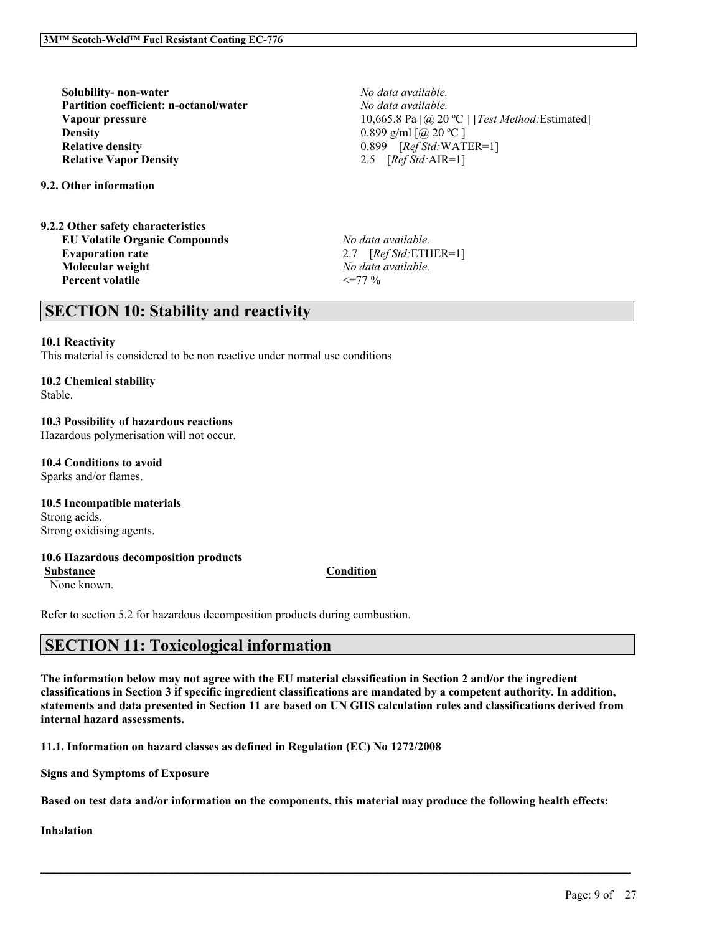**Solubility- non-water** *No data available.* **Partition coefficient: n-octanol/water** *No data available.* **Density** 0.899 g/ml  $\lceil (\partial \rho \cdot 20 \, \degree \text{C} \rceil \rceil)$ **Relative density** 0.899 [*Ref Std:*WATER=1] **Relative Vapor Density** 2.5 [*Ref Std:*AIR=1]

**9.2. Other information**

**9.2.2 Other safety characteristics EU Volatile Organic Compounds** *No data available.* **Evaporation rate** 2.7 [*Ref Std:*ETHER=1] **Molecular weight** *No data available.* **Percent volatile**  $\leq$   $\leq$  77 %

**Vapour pressure** 10,665.8 Pa [@ 20 °C ] [*Test Method:* Estimated]

# **SECTION 10: Stability and reactivity**

# **10.1 Reactivity**

This material is considered to be non reactive under normal use conditions

# **10.2 Chemical stability**

Stable.

# **10.3 Possibility of hazardous reactions**

Hazardous polymerisation will not occur.

**10.4 Conditions to avoid**

Sparks and/or flames.

**10.5 Incompatible materials** Strong acids.

Strong oxidising agents.

# **10.6 Hazardous decomposition products**

**Substance Condition**

None known.

Refer to section 5.2 for hazardous decomposition products during combustion.

# **SECTION 11: Toxicological information**

The information below may not agree with the EU material classification in Section 2 and/or the ingredient classifications in Section 3 if specific ingredient classifications are mandated by a competent authority. In addition, statements and data presented in Section 11 are based on UN GHS calculation rules and classifications derived from **internal hazard assessments.**

**11.1. Information on hazard classes as defined in Regulation (EC) No 1272/2008**

**Signs and Symptoms of Exposure**

Based on test data and/or information on the components, this material may produce the following health effects:

 $\mathcal{L}_\mathcal{L} = \mathcal{L}_\mathcal{L} = \mathcal{L}_\mathcal{L} = \mathcal{L}_\mathcal{L} = \mathcal{L}_\mathcal{L} = \mathcal{L}_\mathcal{L} = \mathcal{L}_\mathcal{L} = \mathcal{L}_\mathcal{L} = \mathcal{L}_\mathcal{L} = \mathcal{L}_\mathcal{L} = \mathcal{L}_\mathcal{L} = \mathcal{L}_\mathcal{L} = \mathcal{L}_\mathcal{L} = \mathcal{L}_\mathcal{L} = \mathcal{L}_\mathcal{L} = \mathcal{L}_\mathcal{L} = \mathcal{L}_\mathcal{L}$ 

**Inhalation**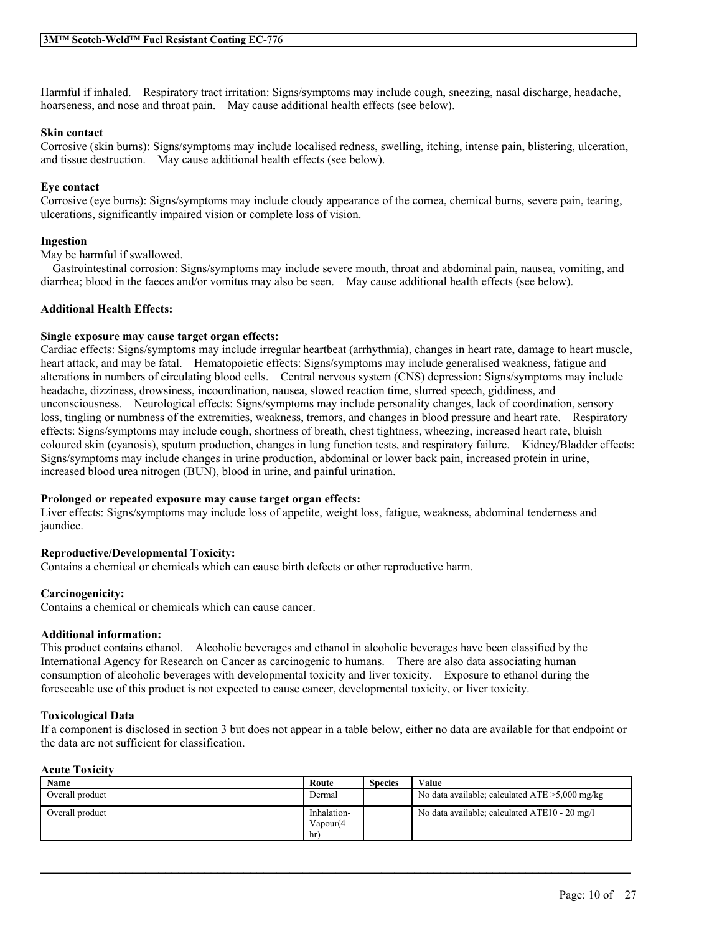Harmful if inhaled. Respiratory tract irritation: Signs/symptoms may include cough, sneezing, nasal discharge, headache, hoarseness, and nose and throat pain. May cause additional health effects (see below).

# **Skin contact**

Corrosive (skin burns): Signs/symptoms may include localised redness, swelling, itching, intense pain, blistering, ulceration, and tissue destruction. May cause additional health effects (see below).

# **Eye contact**

Corrosive (eye burns): Signs/symptoms may include cloudy appearance of the cornea, chemical burns, severe pain, tearing, ulcerations, significantly impaired vision or complete loss of vision.

# **Ingestion**

May be harmful if swallowed.

Gastrointestinal corrosion: Signs/symptoms may include severe mouth, throat and abdominal pain, nausea, vomiting, and diarrhea; blood in the faeces and/or vomitus may also be seen. May cause additional health effects (see below).

# **Additional Health Effects:**

# **Single exposure may cause target organ effects:**

Cardiac effects: Signs/symptoms may include irregular heartbeat (arrhythmia), changes in heart rate, damage to heart muscle, heart attack, and may be fatal. Hematopoietic effects: Signs/symptoms may include generalised weakness, fatigue and alterations in numbers of circulating blood cells. Central nervous system (CNS) depression: Signs/symptoms may include headache, dizziness, drowsiness, incoordination, nausea, slowed reaction time, slurred speech, giddiness, and unconsciousness. Neurological effects: Signs/symptoms may include personality changes, lack of coordination, sensory loss, tingling or numbness of the extremities, weakness, tremors, and changes in blood pressure and heart rate. Respiratory effects: Signs/symptoms may include cough, shortness of breath, chest tightness, wheezing, increased heart rate, bluish coloured skin (cyanosis), sputum production, changes in lung function tests, and respiratory failure. Kidney/Bladder effects: Signs/symptoms may include changes in urine production, abdominal or lower back pain, increased protein in urine, increased blood urea nitrogen (BUN), blood in urine, and painful urination.

# **Prolonged or repeated exposure may cause target organ effects:**

Liver effects: Signs/symptoms may include loss of appetite, weight loss, fatigue, weakness, abdominal tenderness and jaundice.

# **Reproductive/Developmental Toxicity:**

Contains a chemical or chemicals which can cause birth defects or other reproductive harm.

# **Carcinogenicity:**

Contains a chemical or chemicals which can cause cancer.

## **Additional information:**

This product contains ethanol. Alcoholic beverages and ethanol in alcoholic beverages have been classified by the International Agency for Research on Cancer as carcinogenic to humans. There are also data associating human consumption of alcoholic beverages with developmental toxicity and liver toxicity. Exposure to ethanol during the foreseeable use of this product is not expected to cause cancer, developmental toxicity, or liver toxicity.

## **Toxicological Data**

If a component is disclosed in section 3 but does not appear in a table below, either no data are available for that endpoint or the data are not sufficient for classification.

# **Acute Toxicity**

| Name            | Route                    | <b>Species</b> | Value                                             |
|-----------------|--------------------------|----------------|---------------------------------------------------|
| Overall product | Dermal                   |                | No data available; calculated $ATE > 5,000$ mg/kg |
| Overall product | Inhalation-<br>Vapour(4) |                | No data available; calculated ATE10 - 20 mg/l     |
|                 | hr                       |                |                                                   |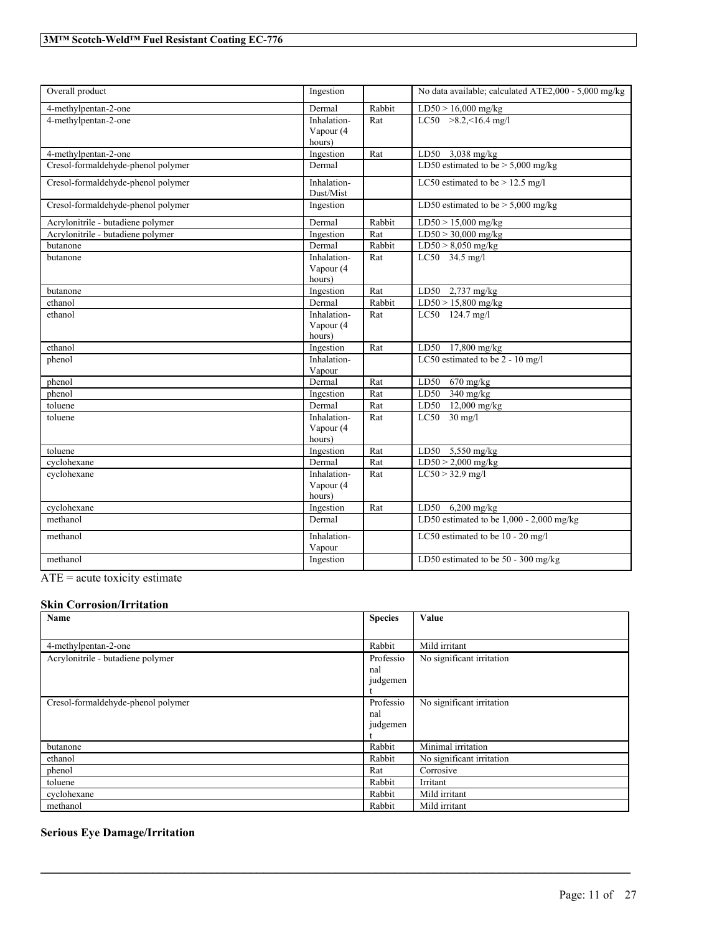| Overall product                    | Ingestion                |        | No data available; calculated ATE2,000 - 5,000 mg/kg |
|------------------------------------|--------------------------|--------|------------------------------------------------------|
| 4-methylpentan-2-one               | Dermal                   | Rabbit | $LD50 > 16,000$ mg/kg                                |
| 4-methylpentan-2-one               | Inhalation-              | Rat    | LC50 $>8.2, 16.4$ mg/l                               |
|                                    | Vapour (4<br>hours)      |        |                                                      |
| 4-methylpentan-2-one               | Ingestion                | Rat    | LD50 3,038 mg/kg                                     |
| Cresol-formaldehyde-phenol polymer | Dermal                   |        | LD50 estimated to be $>$ 5,000 mg/kg                 |
| Cresol-formaldehyde-phenol polymer | Inhalation-<br>Dust/Mist |        | LC50 estimated to be $> 12.5$ mg/l                   |
| Cresol-formaldehyde-phenol polymer | Ingestion                |        | LD50 estimated to be $> 5,000$ mg/kg                 |
| Acrylonitrile - butadiene polymer  | Dermal                   | Rabbit | $LD50 > 15,000$ mg/kg                                |
| Acrylonitrile - butadiene polymer  | Ingestion                | Rat    | $LD50 > 30,000$ mg/kg                                |
| butanone                           | Dermal                   | Rabbit | $LD50 > 8,050$ mg/kg                                 |
| butanone                           | Inhalation-              | Rat    | LC50 34.5 mg/l                                       |
|                                    | Vapour (4                |        |                                                      |
|                                    | hours)                   |        |                                                      |
| butanone                           | Ingestion                | Rat    | LD50<br>$2,737$ mg/kg                                |
| ethanol                            | Dermal                   | Rabbit | $LD50 > 15,800$ mg/kg                                |
| ethanol                            | Inhalation-              | Rat    | LC50 124.7 mg/l                                      |
|                                    | Vapour (4<br>hours)      |        |                                                      |
| ethanol                            | Ingestion                | Rat    | LD50 17,800 mg/kg                                    |
| phenol                             | Inhalation-              |        | LC50 estimated to be 2 - 10 mg/l                     |
|                                    | Vapour                   |        |                                                      |
| phenol                             | Dermal                   | Rat    | $670$ mg/kg<br>LD50                                  |
| phenol                             | Ingestion                | Rat    | LD50<br>$340$ mg/kg                                  |
| toluene                            | Dermal                   | Rat    | $12,000$ mg/kg<br>LD50                               |
| toluene                            | Inhalation-              | Rat    | $LC50$ 30 mg/l                                       |
|                                    | Vapour (4                |        |                                                      |
|                                    | hours)                   |        |                                                      |
| toluene                            | Ingestion                | Rat    | LD50 5,550 mg/kg                                     |
| cyclohexane                        | Dermal                   | Rat    | $LD50 > 2,000$ mg/kg                                 |
| cyclohexane                        | Inhalation-              | Rat    | $LC50 > 32.9$ mg/l                                   |
|                                    | Vapour (4                |        |                                                      |
|                                    | hours)                   |        |                                                      |
| cyclohexane                        | Ingestion                | Rat    | LD50 $6,200$ mg/kg                                   |
| methanol                           | Dermal                   |        | LD50 estimated to be $1,000 - 2,000$ mg/kg           |
| methanol                           | Inhalation-<br>Vapour    |        | LC50 estimated to be 10 - 20 mg/l                    |
| methanol                           | Ingestion                |        | LD50 estimated to be 50 - 300 mg/kg                  |
|                                    |                          |        |                                                      |

ATE = acute toxicity estimate

# **Skin Corrosion/Irritation**

| Name                               | <b>Species</b> | Value                     |
|------------------------------------|----------------|---------------------------|
|                                    |                |                           |
| 4-methylpentan-2-one               | Rabbit         | Mild irritant             |
| Acrylonitrile - butadiene polymer  | Professio      | No significant irritation |
|                                    | nal            |                           |
|                                    | judgemen       |                           |
|                                    |                |                           |
| Cresol-formaldehyde-phenol polymer | Professio      | No significant irritation |
|                                    | nal            |                           |
|                                    | judgemen       |                           |
|                                    |                |                           |
| butanone                           | Rabbit         | Minimal irritation        |
| ethanol                            | Rabbit         | No significant irritation |
| phenol                             | Rat            | Corrosive                 |
| toluene                            | Rabbit         | Irritant                  |
| cyclohexane                        | Rabbit         | Mild irritant             |
| methanol                           | Rabbit         | Mild irritant             |

 $\mathcal{L}_\mathcal{L} = \mathcal{L}_\mathcal{L} = \mathcal{L}_\mathcal{L} = \mathcal{L}_\mathcal{L} = \mathcal{L}_\mathcal{L} = \mathcal{L}_\mathcal{L} = \mathcal{L}_\mathcal{L} = \mathcal{L}_\mathcal{L} = \mathcal{L}_\mathcal{L} = \mathcal{L}_\mathcal{L} = \mathcal{L}_\mathcal{L} = \mathcal{L}_\mathcal{L} = \mathcal{L}_\mathcal{L} = \mathcal{L}_\mathcal{L} = \mathcal{L}_\mathcal{L} = \mathcal{L}_\mathcal{L} = \mathcal{L}_\mathcal{L}$ 

# **Serious Eye Damage/Irritation**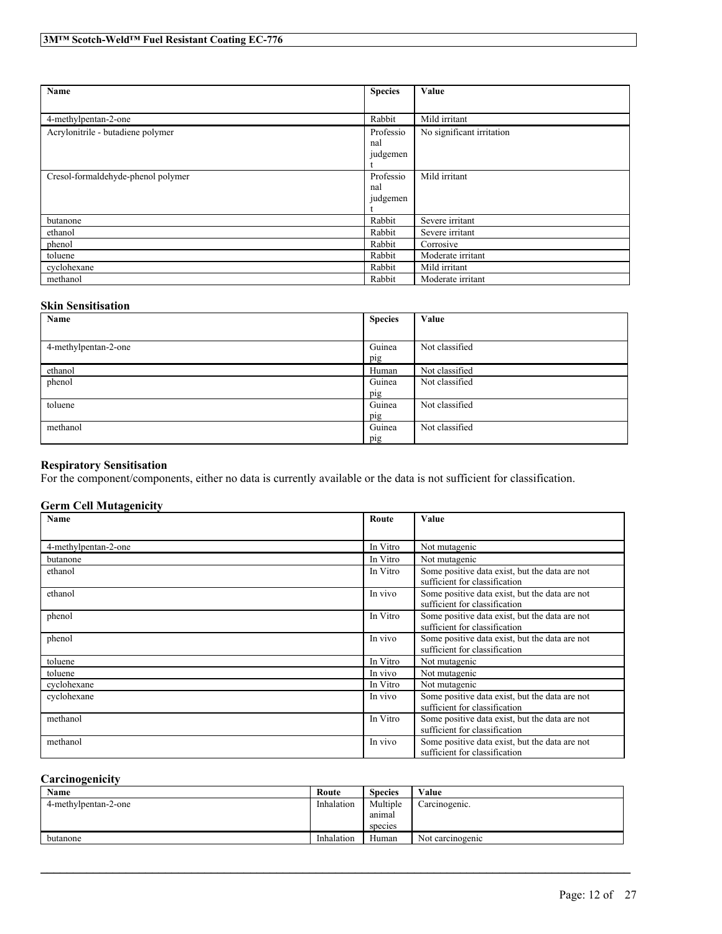| Name                               | <b>Species</b> | Value                     |
|------------------------------------|----------------|---------------------------|
|                                    |                |                           |
| 4-methylpentan-2-one               | Rabbit         | Mild irritant             |
| Acrylonitrile - butadiene polymer  | Professio      | No significant irritation |
|                                    | nal            |                           |
|                                    | judgemen       |                           |
|                                    |                |                           |
| Cresol-formaldehyde-phenol polymer | Professio      | Mild irritant             |
|                                    | nal            |                           |
|                                    | judgemen       |                           |
|                                    |                |                           |
| butanone                           | Rabbit         | Severe irritant           |
| ethanol                            | Rabbit         | Severe irritant           |
| phenol                             | Rabbit         | Corrosive                 |
| toluene                            | Rabbit         | Moderate irritant         |
| cyclohexane                        | Rabbit         | Mild irritant             |
| methanol                           | Rabbit         | Moderate irritant         |

# **Skin Sensitisation**

| Name                 | <b>Species</b> | Value          |
|----------------------|----------------|----------------|
|                      |                |                |
| 4-methylpentan-2-one | Guinea         | Not classified |
|                      | pig            |                |
| ethanol              | Human          | Not classified |
| phenol               | Guinea         | Not classified |
|                      | pig            |                |
| toluene              | Guinea         | Not classified |
|                      | pig            |                |
| methanol             | Guinea         | Not classified |
|                      | pig            |                |

# **Respiratory Sensitisation**

For the component/components, either no data is currently available or the data is not sufficient for classification.

# **Germ Cell Mutagenicity**

| <b>Name</b>          | Route    | Value                                                                           |
|----------------------|----------|---------------------------------------------------------------------------------|
|                      |          |                                                                                 |
| 4-methylpentan-2-one | In Vitro | Not mutagenic                                                                   |
| butanone             | In Vitro | Not mutagenic                                                                   |
| ethanol              | In Vitro | Some positive data exist, but the data are not<br>sufficient for classification |
| ethanol              | In vivo  | Some positive data exist, but the data are not<br>sufficient for classification |
| phenol               | In Vitro | Some positive data exist, but the data are not<br>sufficient for classification |
| phenol               | In vivo  | Some positive data exist, but the data are not<br>sufficient for classification |
| toluene              | In Vitro | Not mutagenic                                                                   |
| toluene              | In vivo  | Not mutagenic                                                                   |
| cyclohexane          | In Vitro | Not mutagenic                                                                   |
| cyclohexane          | In vivo  | Some positive data exist, but the data are not<br>sufficient for classification |
| methanol             | In Vitro | Some positive data exist, but the data are not<br>sufficient for classification |
| methanol             | In vivo  | Some positive data exist, but the data are not<br>sufficient for classification |

# **Carcinogenicity**

| Name                 | Route      | <b>Species</b> | Value            |
|----------------------|------------|----------------|------------------|
| 4-methylpentan-2-one | Inhalation | Multiple       | Carcinogenic.    |
|                      |            | anımal         |                  |
|                      |            | species        |                  |
| butanone             | Inhalation | Human          | Not carcinogenic |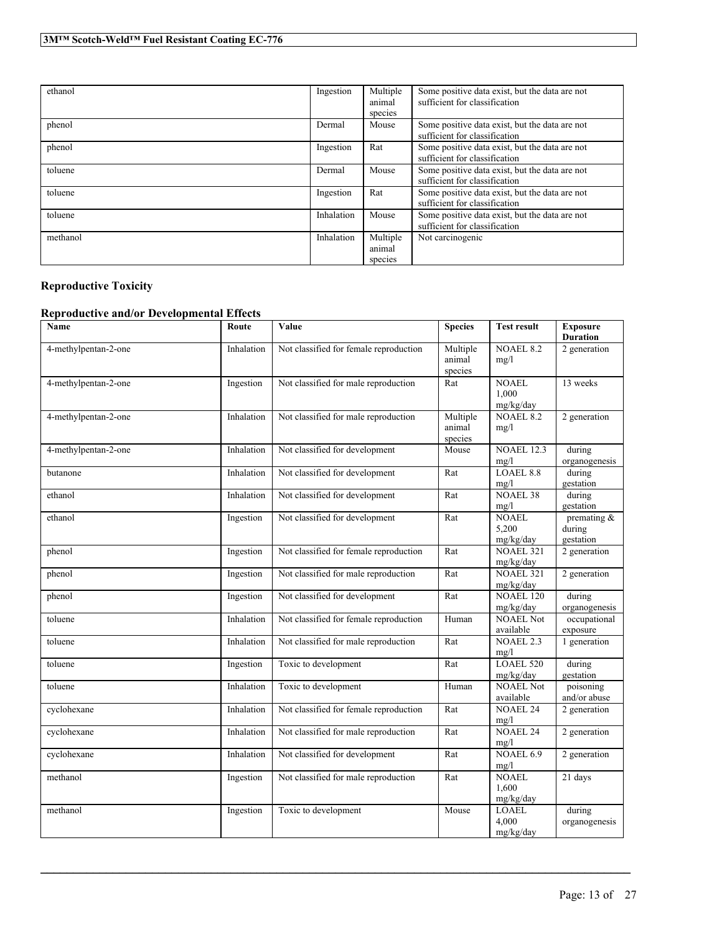| ethanol  | Ingestion  | Multiple<br>animal<br>species | Some positive data exist, but the data are not<br>sufficient for classification |
|----------|------------|-------------------------------|---------------------------------------------------------------------------------|
| phenol   | Dermal     | Mouse                         | Some positive data exist, but the data are not<br>sufficient for classification |
| phenol   | Ingestion  | Rat                           | Some positive data exist, but the data are not<br>sufficient for classification |
| toluene  | Dermal     | Mouse                         | Some positive data exist, but the data are not<br>sufficient for classification |
| toluene  | Ingestion  | Rat                           | Some positive data exist, but the data are not<br>sufficient for classification |
| toluene  | Inhalation | Mouse                         | Some positive data exist, but the data are not<br>sufficient for classification |
| methanol | Inhalation | Multiple<br>animal<br>species | Not carcinogenic                                                                |

# **Reproductive Toxicity**

# **Reproductive and/or Developmental Effects**

| Name                 | Route      | Value                                  | <b>Species</b>                | <b>Test result</b>                 | <b>Exposure</b><br><b>Duration</b>    |
|----------------------|------------|----------------------------------------|-------------------------------|------------------------------------|---------------------------------------|
| 4-methylpentan-2-one | Inhalation | Not classified for female reproduction | Multiple<br>animal<br>species | <b>NOAEL 8.2</b><br>mg/l           | 2 generation                          |
| 4-methylpentan-2-one | Ingestion  | Not classified for male reproduction   | Rat                           | NOAEL<br>1.000<br>mg/kg/day        | 13 weeks                              |
| 4-methylpentan-2-one | Inhalation | Not classified for male reproduction   | Multiple<br>animal<br>species | <b>NOAEL 8.2</b><br>mg/l           | 2 generation                          |
| 4-methylpentan-2-one | Inhalation | Not classified for development         | Mouse                         | <b>NOAEL 12.3</b><br>mg/l          | during<br>organogenesis               |
| butanone             | Inhalation | Not classified for development         | Rat                           | LOAEL 8.8<br>mg/l                  | during<br>gestation                   |
| ethanol              | Inhalation | Not classified for development         | Rat                           | <b>NOAEL 38</b><br>mg/l            | during<br>gestation                   |
| ethanol              | Ingestion  | Not classified for development         | Rat                           | <b>NOAEL</b><br>5,200<br>mg/kg/day | premating $\&$<br>during<br>gestation |
| phenol               | Ingestion  | Not classified for female reproduction | Rat                           | <b>NOAEL 321</b><br>mg/kg/day      | 2 generation                          |
| phenol               | Ingestion  | Not classified for male reproduction   | Rat                           | <b>NOAEL 321</b><br>mg/kg/day      | 2 generation                          |
| phenol               | Ingestion  | Not classified for development         | Rat                           | <b>NOAEL 120</b><br>mg/kg/day      | during<br>organogenesis               |
| toluene              | Inhalation | Not classified for female reproduction | Human                         | <b>NOAEL Not</b><br>available      | occupational<br>exposure              |
| toluene              | Inhalation | Not classified for male reproduction   | Rat                           | <b>NOAEL 2.3</b><br>mg/l           | 1 generation                          |
| toluene              | Ingestion  | Toxic to development                   | Rat                           | LOAEL 520<br>mg/kg/day             | during<br>gestation                   |
| toluene              | Inhalation | Toxic to development                   | Human                         | <b>NOAEL Not</b><br>available      | poisoning<br>and/or abuse             |
| cyclohexane          | Inhalation | Not classified for female reproduction | Rat                           | <b>NOAEL 24</b><br>mg/l            | 2 generation                          |
| cyclohexane          | Inhalation | Not classified for male reproduction   | Rat                           | <b>NOAEL 24</b><br>mg/l            | 2 generation                          |
| cyclohexane          | Inhalation | Not classified for development         | Rat                           | NOAEL 6.9<br>mg/l                  | 2 generation                          |
| methanol             | Ingestion  | Not classified for male reproduction   | Rat                           | <b>NOAEL</b><br>1,600<br>mg/kg/day | 21 days                               |
| methanol             | Ingestion  | Toxic to development                   | Mouse                         | <b>LOAEL</b><br>4.000<br>mg/kg/day | during<br>organogenesis               |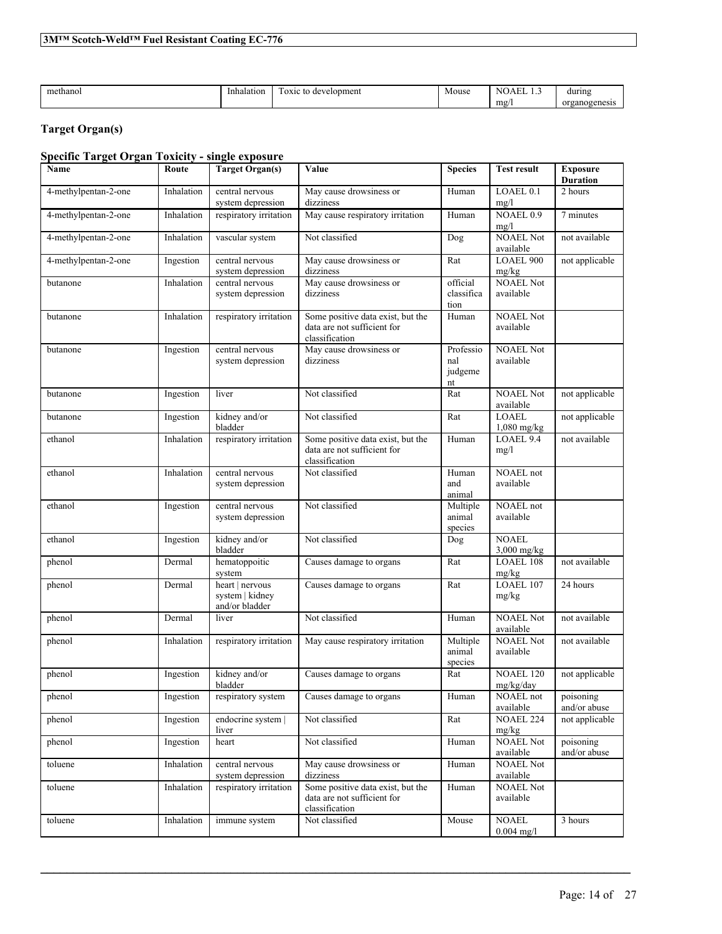| methanol | Inhalation | $\overline{\phantom{a}}$<br>l OXIC<br>to development | Mouse | <b>TEMP</b><br>NO.<br>AEL<br>. | during        |
|----------|------------|------------------------------------------------------|-------|--------------------------------|---------------|
|          |            |                                                      |       | mg/                            | organogenesis |

# **Target Organ(s)**

# **Specific Target Organ Toxicity - single exposure**

| Name                 | Route      | <b>Target Organ(s)</b>                               | Value<br><b>Species</b>                                                            |                                   | <b>Test result</b>            | <b>Exposure</b><br><b>Duration</b> |
|----------------------|------------|------------------------------------------------------|------------------------------------------------------------------------------------|-----------------------------------|-------------------------------|------------------------------------|
| 4-methylpentan-2-one | Inhalation | central nervous<br>system depression                 | May cause drowsiness or<br>dizziness                                               | Human                             | LOAEL <sub>0.1</sub><br>mg/l  | 2 hours                            |
| 4-methylpentan-2-one | Inhalation | respiratory irritation                               | May cause respiratory irritation                                                   | Human                             | <b>NOAEL 0.9</b><br>mg/l      | 7 minutes                          |
| 4-methylpentan-2-one | Inhalation | vascular system                                      | Not classified                                                                     | Dog                               | <b>NOAEL Not</b><br>available | not available                      |
| 4-methylpentan-2-one | Ingestion  | central nervous<br>system depression                 | May cause drowsiness or<br>dizziness                                               | Rat                               | LOAEL 900<br>mg/kg            | not applicable                     |
| butanone             | Inhalation | central nervous<br>system depression                 | May cause drowsiness or<br>dizziness                                               | official<br>classifica<br>tion    | <b>NOAEL Not</b><br>available |                                    |
| butanone             | Inhalation | respiratory irritation                               | Some positive data exist, but the<br>data are not sufficient for<br>classification | Human                             | <b>NOAEL Not</b><br>available |                                    |
| butanone             | Ingestion  | central nervous<br>system depression                 | May cause drowsiness or<br>dizziness                                               | Professio<br>nal<br>judgeme<br>nt | <b>NOAEL Not</b><br>available |                                    |
| butanone             | Ingestion  | liver                                                | Not classified                                                                     | Rat                               | <b>NOAEL Not</b><br>available | not applicable                     |
| butanone             | Ingestion  | kidney and/or<br>bladder                             | Not classified                                                                     | Rat                               | <b>LOAEL</b><br>$1,080$ mg/kg | not applicable                     |
| ethanol              | Inhalation | respiratory irritation                               | Some positive data exist, but the<br>data are not sufficient for<br>classification | Human                             | LOAEL 9.4<br>mg/1             | not available                      |
| ethanol              | Inhalation | central nervous<br>system depression                 | Not classified                                                                     | Human<br>and<br>animal            | NOAEL not<br>available        |                                    |
| ethanol              | Ingestion  | central nervous<br>system depression                 | Not classified                                                                     | Multiple<br>animal<br>species     | NOAEL not<br>available        |                                    |
| ethanol              | Ingestion  | kidney and/or<br>bladder                             | Not classified                                                                     | Dog                               | <b>NOAEL</b><br>$3,000$ mg/kg |                                    |
| phenol               | Dermal     | hematoppoitic<br>system                              | Causes damage to organs                                                            | Rat                               | <b>LOAEL 108</b><br>mg/kg     | not available                      |
| phenol               | Dermal     | heart   nervous<br>system   kidney<br>and/or bladder | Causes damage to organs                                                            | Rat                               | LOAEL 107<br>mg/kg            | 24 hours                           |
| phenol               | Dermal     | liver                                                | Not classified                                                                     | Human                             | <b>NOAEL Not</b><br>available | not available                      |
| phenol               | Inhalation | respiratory irritation                               | May cause respiratory irritation                                                   | Multiple<br>animal<br>species     | <b>NOAEL Not</b><br>available | not available                      |
| phenol               | Ingestion  | kidney and/or<br>bladder                             | Causes damage to organs                                                            | Rat                               | <b>NOAEL 120</b><br>mg/kg/day | not applicable                     |
| phenol               | Ingestion  | respiratory system                                   | Causes damage to organs                                                            | Human                             | NOAEL not<br>available        | poisoning<br>and/or abuse          |
| phenol               | Ingestion  | endocrine system  <br>liver                          | Not classified                                                                     | Rat                               | <b>NOAEL 224</b><br>mg/kg     | not applicable                     |
| phenol               | Ingestion  | heart                                                | Not classified                                                                     | Human                             | <b>NOAEL Not</b><br>available | poisoning<br>and/or abuse          |
| toluene              | Inhalation | central nervous<br>system depression                 | May cause drowsiness or<br>dizziness                                               | Human                             | <b>NOAEL Not</b><br>available |                                    |
| toluene              | Inhalation | respiratory irritation                               | Some positive data exist, but the<br>data are not sufficient for<br>classification | Human                             | <b>NOAEL Not</b><br>available |                                    |
| toluene              | Inhalation | immune system                                        | Not classified                                                                     | Mouse                             | <b>NOAEL</b><br>$0.004$ mg/l  | 3 hours                            |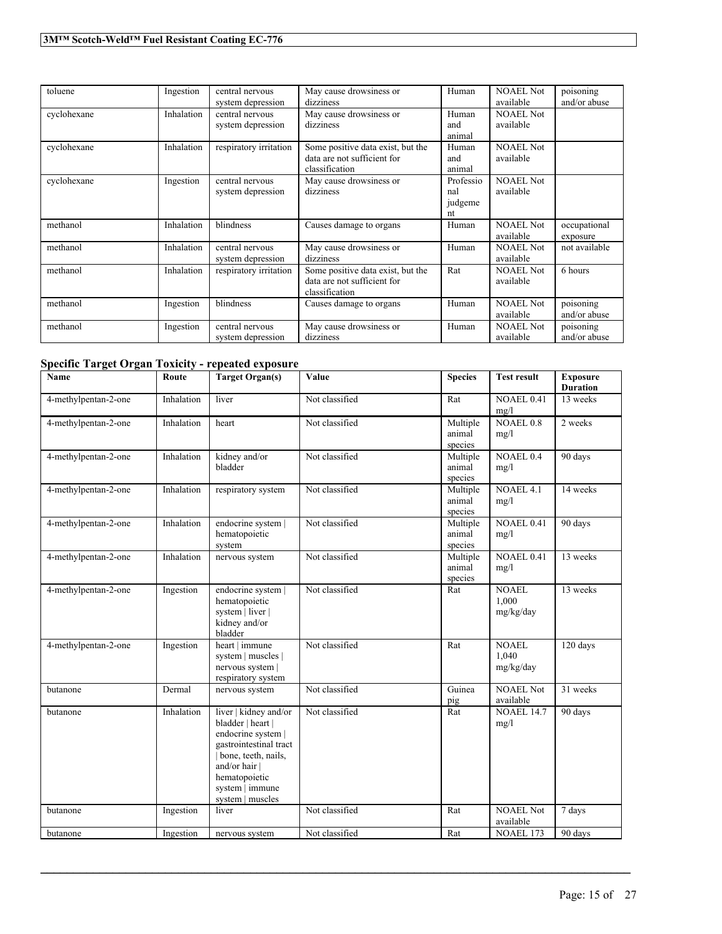| toluene     | Ingestion  | central nervous<br>system depression | May cause drowsiness or<br>dizziness                                               | Human                             | <b>NOAEL Not</b><br>available | poisoning<br>and/or abuse |
|-------------|------------|--------------------------------------|------------------------------------------------------------------------------------|-----------------------------------|-------------------------------|---------------------------|
| cyclohexane | Inhalation | central nervous<br>system depression | May cause drowsiness or<br>dizziness                                               | Human<br>and<br>animal            | <b>NOAEL Not</b><br>available |                           |
| cyclohexane | Inhalation | respiratory irritation               | Some positive data exist, but the<br>data are not sufficient for<br>classification | Human<br>and<br>animal            | <b>NOAEL Not</b><br>available |                           |
| cyclohexane | Ingestion  | central nervous<br>system depression | May cause drowsiness or<br>dizziness                                               | Professio<br>nal<br>judgeme<br>nt | <b>NOAEL Not</b><br>available |                           |
| methanol    | Inhalation | blindness                            | Causes damage to organs                                                            | Human                             | <b>NOAEL Not</b><br>available | occupational<br>exposure  |
| methanol    | Inhalation | central nervous<br>system depression | May cause drowsiness or<br>dizziness                                               | Human                             | <b>NOAEL Not</b><br>available | not available             |
| methanol    | Inhalation | respiratory irritation               | Some positive data exist, but the<br>data are not sufficient for<br>classification | Rat                               | <b>NOAEL Not</b><br>available | 6 hours                   |
| methanol    | Ingestion  | blindness                            | Causes damage to organs                                                            | Human                             | <b>NOAEL Not</b><br>available | poisoning<br>and/or abuse |
| methanol    | Ingestion  | central nervous<br>system depression | May cause drowsiness or<br>dizziness                                               | Human                             | <b>NOAEL Not</b><br>available | poisoning<br>and/or abuse |

# **Specific Target Organ Toxicity - repeated exposure**

| <b>Name</b>          | Route      | <b>Target Organ(s)</b>                                                                                                                                                                     | Value          | <b>Species</b>                | <b>Test result</b>                 | <b>Exposure</b><br><b>Duration</b> |
|----------------------|------------|--------------------------------------------------------------------------------------------------------------------------------------------------------------------------------------------|----------------|-------------------------------|------------------------------------|------------------------------------|
| 4-methylpentan-2-one | Inhalation | liver                                                                                                                                                                                      | Not classified | Rat                           | <b>NOAEL 0.41</b><br>mg/l          | 13 weeks                           |
| 4-methylpentan-2-one | Inhalation | heart                                                                                                                                                                                      | Not classified | Multiple<br>animal<br>species | <b>NOAEL 0.8</b><br>mg/l           | 2 weeks                            |
| 4-methylpentan-2-one | Inhalation | kidney and/or<br>bladder                                                                                                                                                                   | Not classified | Multiple<br>animal<br>species | NOAEL 0.4<br>mg/l                  | 90 days                            |
| 4-methylpentan-2-one | Inhalation | respiratory system                                                                                                                                                                         | Not classified | Multiple<br>animal<br>species | <b>NOAEL 4.1</b><br>mg/l           | 14 weeks                           |
| 4-methylpentan-2-one | Inhalation | endocrine system  <br>hematopoietic<br>system                                                                                                                                              | Not classified | Multiple<br>animal<br>species | <b>NOAEL 0.41</b><br>mg/l          | 90 days                            |
| 4-methylpentan-2-one | Inhalation | nervous system                                                                                                                                                                             | Not classified | Multiple<br>animal<br>species | <b>NOAEL 0.41</b><br>mg/l          | 13 weeks                           |
| 4-methylpentan-2-one | Ingestion  | endocrine system  <br>hematopoietic<br>system   liver  <br>kidney and/or<br>bladder                                                                                                        | Not classified | Rat                           | <b>NOAEL</b><br>1.000<br>mg/kg/day | 13 weeks                           |
| 4-methylpentan-2-one | Ingestion  | heart   immune<br>system   muscles  <br>nervous system  <br>respiratory system                                                                                                             | Not classified | Rat                           | <b>NOAEL</b><br>1.040<br>mg/kg/day | 120 days                           |
| butanone             | Dermal     | nervous system                                                                                                                                                                             | Not classified | Guinea<br>pig                 | <b>NOAEL Not</b><br>available      | 31 weeks                           |
| butanone             | Inhalation | liver   kidney and/or<br>bladder   heart  <br>endocrine system  <br>gastrointestinal tract<br>bone, teeth, nails,<br>and/or hair  <br>hematopoietic<br>system   immune<br>system   muscles | Not classified | Rat                           | <b>NOAEL 14.7</b><br>mg/l          | 90 days                            |
| butanone             | Ingestion  | liver                                                                                                                                                                                      | Not classified | Rat                           | <b>NOAEL Not</b><br>available      | 7 days                             |
| butanone             | Ingestion  | nervous system                                                                                                                                                                             | Not classified | Rat                           | NOAEL 173                          | 90 days                            |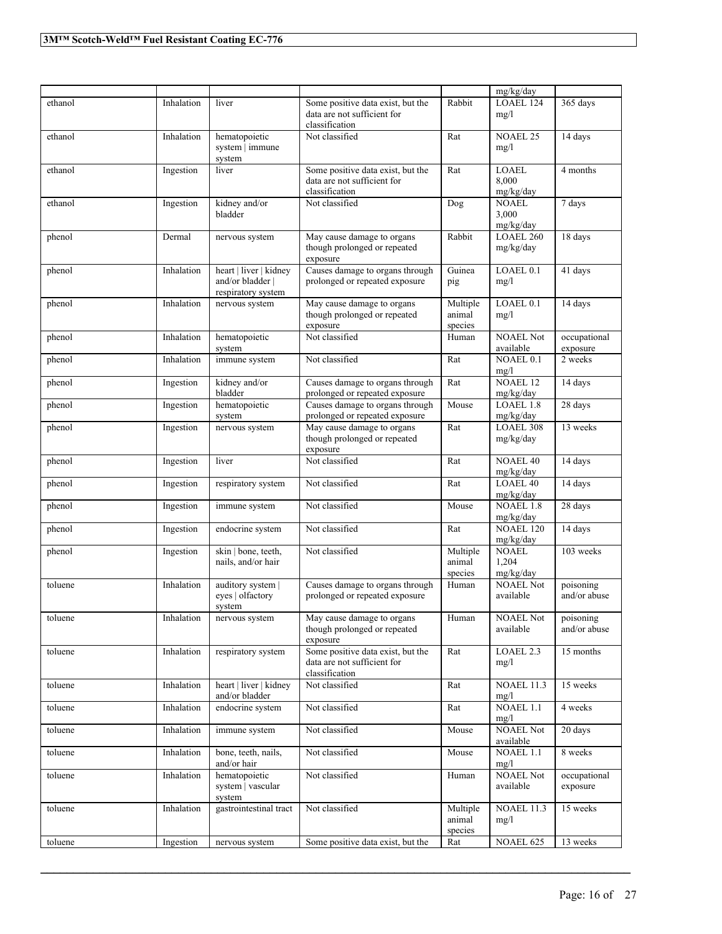|         |            |                                                                  |                                                                                    |                               | mg/kg/day                          |                           |
|---------|------------|------------------------------------------------------------------|------------------------------------------------------------------------------------|-------------------------------|------------------------------------|---------------------------|
| ethanol | Inhalation | liver                                                            | Some positive data exist, but the<br>data are not sufficient for                   | Rabbit                        | LOAEL 124<br>mg/l                  | 365 days                  |
|         |            |                                                                  | classification                                                                     |                               |                                    |                           |
| ethanol | Inhalation | hematopoietic<br>system   immune<br>system                       | Not classified                                                                     | Rat                           | <b>NOAEL 25</b><br>mg/l            | 14 days                   |
| ethanol | Ingestion  | liver                                                            | Some positive data exist, but the<br>data are not sufficient for                   | Rat                           | <b>LOAEL</b><br>8,000              | 4 months                  |
| ethanol | Ingestion  | kidney and/or                                                    | classification<br>Not classified                                                   | Dog                           | mg/kg/day<br><b>NOAEL</b>          | 7 days                    |
|         |            | bladder                                                          |                                                                                    |                               | 3,000<br>mg/kg/day                 |                           |
| phenol  | Dermal     | nervous system                                                   | May cause damage to organs<br>though prolonged or repeated<br>exposure             | Rabbit                        | LOAEL 260<br>mg/kg/day             | 18 days                   |
| phenol  | Inhalation | heart   liver   kidney<br>and/or bladder  <br>respiratory system | Causes damage to organs through<br>prolonged or repeated exposure                  | Guinea<br>pig                 | LOAEL <sub>0.1</sub><br>mg/l       | 41 days                   |
| phenol  | Inhalation | nervous system                                                   | May cause damage to organs<br>though prolonged or repeated<br>exposure             | Multiple<br>animal<br>species | LOAEL 0.1<br>mg/l                  | 14 days                   |
| phenol  | Inhalation | hematopoietic<br>system                                          | Not classified                                                                     | Human                         | <b>NOAEL Not</b><br>available      | occupational<br>exposure  |
| phenol  | Inhalation | immune system                                                    | Not classified                                                                     | Rat                           | NOAEL 0.1<br>mg/l                  | 2 weeks                   |
| phenol  | Ingestion  | kidney and/or<br>bladder                                         | Causes damage to organs through<br>prolonged or repeated exposure                  | Rat                           | <b>NOAEL 12</b><br>mg/kg/day       | 14 days                   |
| phenol  | Ingestion  | hematopoietic<br>system                                          | Causes damage to organs through<br>prolonged or repeated exposure                  | Mouse                         | LOAEL 1.8<br>mg/kg/day             | 28 days                   |
| phenol  | Ingestion  | nervous system                                                   | May cause damage to organs<br>though prolonged or repeated<br>exposure             | Rat                           | <b>LOAEL 308</b><br>mg/kg/day      | 13 weeks                  |
| phenol  | Ingestion  | liver                                                            | Not classified                                                                     | Rat                           | <b>NOAEL 40</b><br>mg/kg/day       | 14 days                   |
| phenol  | Ingestion  | respiratory system                                               | Not classified                                                                     | Rat                           | LOAEL <sub>40</sub><br>mg/kg/day   | 14 days                   |
| phenol  | Ingestion  | immune system                                                    | Not classified                                                                     | Mouse                         | <b>NOAEL 1.8</b><br>mg/kg/day      | 28 days                   |
| phenol  | Ingestion  | endocrine system                                                 | Not classified                                                                     | Rat                           | NOAEL 120<br>mg/kg/day             | 14 days                   |
| phenol  | Ingestion  | skin   bone, teeth,<br>nails, and/or hair                        | Not classified                                                                     | Multiple<br>animal<br>species | <b>NOAEL</b><br>1,204<br>mg/kg/day | 103 weeks                 |
| toluene | Inhalation | auditory system  <br>eyes   olfactory<br>system                  | Causes damage to organs through<br>prolonged or repeated exposure                  | Human                         | <b>NOAEL Not</b><br>available      | poisoning<br>and/or abuse |
| toluene | Inhalation | nervous system                                                   | May cause damage to organs<br>though prolonged or repeated<br>exposure             | Human                         | <b>NOAEL Not</b><br>available      | poisoning<br>and/or abuse |
| toluene | Inhalation | respiratory system                                               | Some positive data exist, but the<br>data are not sufficient for<br>classification | Rat                           | LOAEL 2.3<br>mg/l                  | 15 months                 |
| toluene | Inhalation | heart   liver   kidney<br>and/or bladder                         | Not classified                                                                     | $\operatorname{Rat}$          | <b>NOAEL 11.3</b><br>mg/l          | 15 weeks                  |
| toluene | Inhalation | endocrine system                                                 | Not classified                                                                     | Rat                           | NOAEL 1.1<br>mg/l                  | 4 weeks                   |
| toluene | Inhalation | immune system                                                    | Not classified                                                                     | Mouse                         | <b>NOAEL Not</b><br>available      | 20 days                   |
| toluene | Inhalation | bone, teeth, nails,<br>and/or hair                               | Not classified                                                                     | Mouse                         | NOAEL 1.1<br>mg/l                  | 8 weeks                   |
| toluene | Inhalation | hematopoietic<br>system   vascular<br>system                     | Not classified                                                                     | Human                         | <b>NOAEL Not</b><br>available      | occupational<br>exposure  |
| toluene | Inhalation | gastrointestinal tract                                           | Not classified                                                                     | Multiple<br>animal<br>species | <b>NOAEL 11.3</b><br>mg/l          | 15 weeks                  |
| toluene | Ingestion  | nervous system                                                   | Some positive data exist, but the                                                  | Rat                           | NOAEL 625                          | 13 weeks                  |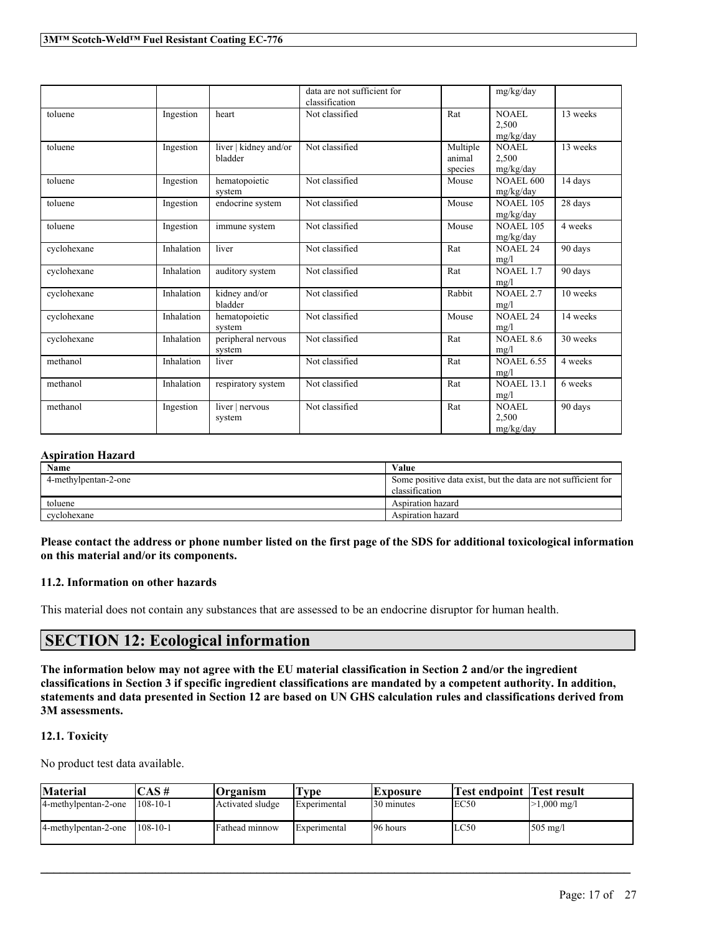|             |            |                                  | data are not sufficient for<br>classification |                               | mg/kg/day                     |                      |
|-------------|------------|----------------------------------|-----------------------------------------------|-------------------------------|-------------------------------|----------------------|
| toluene     | Ingestion  | heart                            | Not classified                                | Rat                           | NOAEL<br>2.500<br>mg/kg/day   | 13 weeks             |
| toluene     | Ingestion  | liver   kidney and/or<br>bladder | Not classified                                | Multiple<br>animal<br>species | NOAEL<br>2,500<br>mg/kg/day   | 13 weeks             |
| toluene     | Ingestion  | hematopoietic<br>system          | Not classified                                | Mouse                         | <b>NOAEL 600</b><br>mg/kg/day | 14 days              |
| toluene     | Ingestion  | endocrine system                 | Not classified                                | Mouse                         | <b>NOAEL 105</b><br>mg/kg/day | 28 days              |
| toluene     | Ingestion  | immune system                    | Not classified                                | Mouse                         | <b>NOAEL 105</b><br>mg/kg/day | 4 weeks              |
| cyclohexane | Inhalation | liver                            | Not classified                                | Rat                           | <b>NOAEL 24</b><br>mg/l       | 90 days              |
| cyclohexane | Inhalation | auditory system                  | Not classified                                | Rat                           | NOAEL 1.7<br>mg/l             | $\overline{90}$ days |
| cyclohexane | Inhalation | kidney and/or<br>bladder         | Not classified                                | Rabbit                        | <b>NOAEL 2.7</b><br>mg/l      | 10 weeks             |
| cyclohexane | Inhalation | hematopoietic<br>system          | Not classified                                | Mouse                         | NOAEL <sub>24</sub><br>mg/l   | 14 weeks             |
| cyclohexane | Inhalation | peripheral nervous<br>system     | Not classified                                | Rat                           | <b>NOAEL 8.6</b><br>mg/l      | 30 weeks             |
| methanol    | Inhalation | liver                            | Not classified                                | Rat                           | <b>NOAEL 6.55</b><br>mg/l     | 4 weeks              |
| methanol    | Inhalation | respiratory system               | Not classified                                | Rat                           | <b>NOAEL 13.1</b><br>mg/l     | 6 weeks              |
| methanol    | Ingestion  | liver   nervous<br>system        | Not classified                                | Rat                           | NOAEL<br>2,500<br>mg/kg/day   | 90 days              |

# **Aspiration Hazard**

| <b>Name</b>          | Value                                                         |
|----------------------|---------------------------------------------------------------|
| 4-methylpentan-2-one | Some positive data exist, but the data are not sufficient for |
|                      | classification                                                |
| toluene              | Aspiration hazard                                             |
| cyclohexane          | Aspiration hazard                                             |

Please contact the address or phone number listed on the first page of the SDS for additional toxicological information **on this material and/or its components.**

# **11.2. Information on other hazards**

This material does not contain any substances that are assessed to be an endocrine disruptor for human health.

# **SECTION 12: Ecological information**

The information below may not agree with the EU material classification in Section 2 and/or the ingredient classifications in Section 3 if specific ingredient classifications are mandated by a competent authority. In addition, statements and data presented in Section 12 are based on UN GHS calculation rules and classifications derived from **3M assessments.**

## **12.1. Toxicity**

No product test data available.

| Material             | $\mathbb{C}\mathbf{AS}\,\mathit{\#}$ | Organism         | l'vpe        | <b>Exposure</b> | Test endpoint  Test result |                       |
|----------------------|--------------------------------------|------------------|--------------|-----------------|----------------------------|-----------------------|
| 4-methylpentan-2-one | $1108 - 10 - 1$                      | Activated sludge | Experimental | 30 minutes      | IEC50                      | $>1,000 \text{ mg/l}$ |
| 4-methylpentan-2-one | $1108 - 10 - 1$                      | Fathead minnow   | Experimental | 96 hours        | LC50                       | 505 mg/l              |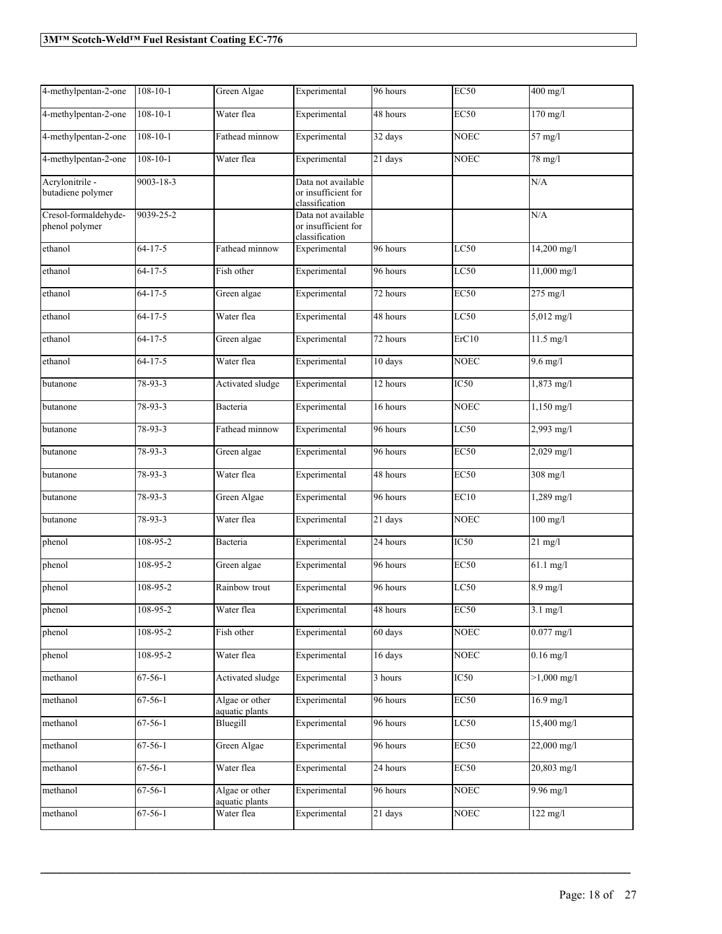| 4-methylpentan-2-one                   | $108 - 10 - 1$  | Green Algae                      | Experimental                                                | 96 hours             | <b>EC50</b>      | 400 mg/l               |
|----------------------------------------|-----------------|----------------------------------|-------------------------------------------------------------|----------------------|------------------|------------------------|
| 4-methylpentan-2-one                   | $108 - 10 - 1$  | Water flea                       | Experimental                                                | 48 hours             | EC50             | $170$ mg/l             |
| 4-methylpentan-2-one                   | $108 - 10 - 1$  | Fathead minnow                   | Experimental                                                | 32 days              | <b>NOEC</b>      | 57 mg/l                |
| 4-methylpentan-2-one                   | $108 - 10 - 1$  | Water flea                       | Experimental                                                | $\overline{21}$ days | <b>NOEC</b>      | 78 mg/l                |
| Acrylonitrile -<br>butadiene polymer   | $9003 - 18 - 3$ |                                  | Data not available<br>or insufficient for<br>classification |                      |                  | N/A                    |
| Cresol-formaldehyde-<br>phenol polymer | 9039-25-2       |                                  | Data not available<br>or insufficient for<br>classification |                      |                  | N/A                    |
| ethanol                                | $64 - 17 - 5$   | Fathead minnow                   | Experimental                                                | 96 hours             | LC50             | $14,200$ mg/l          |
| ethanol                                | $64 - 17 - 5$   | Fish other                       | Experimental                                                | 96 hours             | LC50             | 11,000 mg/l            |
| ethanol                                | $64 - 17 - 5$   | Green algae                      | Experimental                                                | 72 hours             | <b>EC50</b>      | 275 mg/l               |
| ethanol                                | $64 - 17 - 5$   | Water flea                       | Experimental                                                | 48 hours             | LC50             | 5,012 mg/l             |
| ethanol                                | $64 - 17 - 5$   | Green algae                      | Experimental                                                | 72 hours             | ErC10            | $\overline{11.5}$ mg/l |
| ethanol                                | $64 - 17 - 5$   | Water flea                       | Experimental                                                | 10 days              | <b>NOEC</b>      | $9.6$ mg/l             |
| butanone                               | 78-93-3         | Activated sludge                 | Experimental                                                | 12 hours             | IC50             | 1,873 mg/l             |
| butanone                               | 78-93-3         | Bacteria                         | Experimental                                                | 16 hours             | <b>NOEC</b>      | 1,150 mg/l             |
| butanone                               | 78-93-3         | Fathead minnow                   | Experimental                                                | 96 hours             | LC50             | 2,993 mg/l             |
| butanone                               | 78-93-3         | Green algae                      | Experimental                                                | 96 hours             | <b>EC50</b>      | $2,029$ mg/l           |
| butanone                               | 78-93-3         | Water flea                       | Experimental                                                | 48 hours             | EC50             | $308$ mg/l             |
| butanone                               | 78-93-3         | Green Algae                      | Experimental                                                | 96 hours             | EC10             | 1,289 mg/l             |
| butanone                               | 78-93-3         | Water flea                       | Experimental                                                | 21 days              | <b>NOEC</b>      | $100$ mg/l             |
| phenol                                 | 108-95-2        | Bacteria                         | Experimental                                                | 24 hours             | IC50             | $21 \text{ mg/l}$      |
| phenol                                 | 108-95-2        | Green algae                      | Experimental                                                | 96 hours             | <b>EC50</b>      | 61.1 mg/l              |
| phenol                                 | $108 - 95 - 2$  | Rainbow trout                    | Experimental                                                | 96 hours             | LC50             | $8.9$ mg/l             |
| phenol                                 | 108-95-2        | Water flea                       | Experimental                                                | 48 hours             | <b>EC50</b>      | $3.1 \text{ mg}/l$     |
| phenol                                 | 108-95-2        | Fish other                       | Experimental                                                | 60 days              | <b>NOEC</b>      | $0.077$ mg/l           |
| phenol                                 | 108-95-2        | Water flea                       | Experimental                                                | 16 days              | <b>NOEC</b>      | $0.16$ mg/l            |
| methanol                               | $67 - 56 - 1$   | Activated sludge                 | Experimental                                                | 3 hours              | IC <sub>50</sub> | $>1,000 \text{ mg/l}$  |
| methanol                               | $67 - 56 - 1$   | Algae or other<br>aquatic plants | Experimental                                                | 96 hours             | <b>EC50</b>      | $16.9$ mg/l            |
| methanol                               | $67 - 56 - 1$   | Bluegill                         | Experimental                                                | 96 hours             | LC50             | 15,400 mg/l            |
| methanol                               | 67-56-1         | Green Algae                      | Experimental                                                | 96 hours             | <b>EC50</b>      | 22,000 mg/l            |
| methanol                               | $67 - 56 - 1$   | Water flea                       | Experimental                                                | 24 hours             | EC50             | 20,803 mg/l            |
| methanol                               | $67 - 56 - 1$   | Algae or other<br>aquatic plants | Experimental                                                | 96 hours             | <b>NOEC</b>      | 9.96 mg/l              |
| methanol                               | $67 - 56 - 1$   | Water flea                       | Experimental                                                | $\overline{21}$ days | <b>NOEC</b>      | $122$ mg/l             |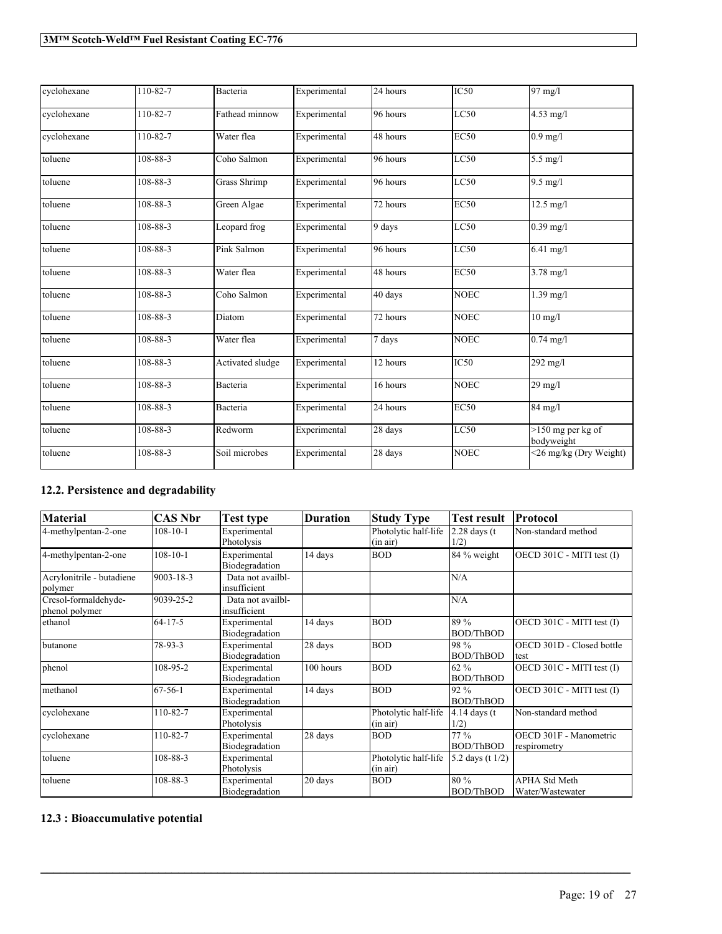| cyclohexane | 110-82-7       | Bacteria            | Experimental | 24 hours | IC50        | 97 mg/l                           |
|-------------|----------------|---------------------|--------------|----------|-------------|-----------------------------------|
| cyclohexane | 110-82-7       | Fathead minnow      | Experimental | 96 hours | LC50        | $4.53$ mg/l                       |
| cyclohexane | 110-82-7       | Water flea          | Experimental | 48 hours | <b>EC50</b> | $0.9$ mg/l                        |
| toluene     | 108-88-3       | Coho Salmon         | Experimental | 96 hours | LC50        | $5.5$ mg/l                        |
| toluene     | 108-88-3       | <b>Grass Shrimp</b> | Experimental | 96 hours | LC50        | $9.5$ mg/l                        |
| toluene     | 108-88-3       | Green Algae         | Experimental | 72 hours | <b>EC50</b> | $12.5 \text{ mg/l}$               |
| toluene     | $108 - 88 - 3$ | Leopard frog        | Experimental | 9 days   | LC50        | $0.39$ mg/l                       |
| toluene     | 108-88-3       | Pink Salmon         | Experimental | 96 hours | LC50        | $\sqrt{6.41}$ mg/l                |
| toluene     | $108 - 88 - 3$ | Water flea          | Experimental | 48 hours | <b>EC50</b> | $3.78 \text{ mg}/1$               |
| toluene     | 108-88-3       | Coho Salmon         | Experimental | 40 days  | <b>NOEC</b> | $1.39$ mg/l                       |
| toluene     | 108-88-3       | Diatom              | Experimental | 72 hours | <b>NOEC</b> | $10$ mg/l                         |
| toluene     | 108-88-3       | Water flea          | Experimental | 7 days   | <b>NOEC</b> | $0.74$ mg/l                       |
| toluene     | 108-88-3       | Activated sludge    | Experimental | 12 hours | IC50        | $292$ mg/l                        |
| toluene     | 108-88-3       | Bacteria            | Experimental | 16 hours | <b>NOEC</b> | $29$ mg/l                         |
| toluene     | 108-88-3       | Bacteria            | Experimental | 24 hours | <b>EC50</b> | 84 mg/l                           |
| toluene     | 108-88-3       | Redworm             | Experimental | 28 days  | LC50        | $>150$ mg per kg of<br>bodyweight |
| toluene     | 108-88-3       | Soil microbes       | Experimental | 28 days  | <b>NOEC</b> | <26 mg/kg (Dry Weight)            |

# **12.2. Persistence and degradability**

| <b>Material</b>                        | <b>CAS Nbr</b> | Test type                         | <b>Duration</b> | <b>Study Type</b>                | <b>Test result</b>            | Protocol                                 |
|----------------------------------------|----------------|-----------------------------------|-----------------|----------------------------------|-------------------------------|------------------------------------------|
| 4-methylpentan-2-one                   | $108 - 10 - 1$ | Experimental<br>Photolysis        |                 | Photolytic half-life<br>(in air) | $2.28$ days (t<br>1/2)        | Non-standard method                      |
| 4-methylpentan-2-one                   | $108 - 10 - 1$ | Experimental<br>Biodegradation    | 14 days         | <b>BOD</b>                       | 84 % weight                   | OECD 301C - MITI test (I)                |
| Acrylonitrile - butadiene<br>polymer   | 9003-18-3      | Data not availbl-<br>insufficient |                 |                                  | N/A                           |                                          |
| Cresol-formaldehyde-<br>phenol polymer | 9039-25-2      | Data not availbl-<br>insufficient |                 |                                  | N/A                           |                                          |
| ethanol                                | $64 - 17 - 5$  | Experimental<br>Biodegradation    | 14 days         | <b>BOD</b>                       | 89 %<br><b>BOD/ThBOD</b>      | OECD 301C - MITI test (I)                |
| butanone                               | 78-93-3        | Experimental<br>Biodegradation    | 28 days         | <b>BOD</b>                       | 98 %<br><b>BOD/ThBOD</b>      | OECD 301D - Closed bottle<br>test        |
| phenol                                 | 108-95-2       | Experimental<br>Biodegradation    | 100 hours       | <b>BOD</b>                       | $62\%$<br><b>BOD/ThBOD</b>    | OECD 301C - MITI test (I)                |
| methanol                               | $67 - 56 - 1$  | Experimental<br>Biodegradation    | 14 days         | <b>BOD</b>                       | 92 %<br><b>BOD/ThBOD</b>      | OECD 301C - MITI test (I)                |
| cyclohexane                            | 110-82-7       | Experimental<br>Photolysis        |                 | Photolytic half-life<br>(in air) | $\sqrt{4.14}$ days (t<br>1/2) | Non-standard method                      |
| cyclohexane                            | 110-82-7       | Experimental<br>Biodegradation    | 28 days         | <b>BOD</b>                       | $77\%$<br><b>BOD/ThBOD</b>    | OECD 301F - Manometric<br>respirometry   |
| toluene                                | 108-88-3       | Experimental<br>Photolysis        |                 | Photolytic half-life<br>(in air) | 5.2 days (t 1/2)              |                                          |
| toluene                                | 108-88-3       | Experimental<br>Biodegradation    | 20 days         | <b>BOD</b>                       | 80 %<br><b>BOD/ThBOD</b>      | <b>APHA Std Meth</b><br>Water/Wastewater |

 $\mathcal{L}_\mathcal{L} = \mathcal{L}_\mathcal{L} = \mathcal{L}_\mathcal{L} = \mathcal{L}_\mathcal{L} = \mathcal{L}_\mathcal{L} = \mathcal{L}_\mathcal{L} = \mathcal{L}_\mathcal{L} = \mathcal{L}_\mathcal{L} = \mathcal{L}_\mathcal{L} = \mathcal{L}_\mathcal{L} = \mathcal{L}_\mathcal{L} = \mathcal{L}_\mathcal{L} = \mathcal{L}_\mathcal{L} = \mathcal{L}_\mathcal{L} = \mathcal{L}_\mathcal{L} = \mathcal{L}_\mathcal{L} = \mathcal{L}_\mathcal{L}$ 

# **12.3 : Bioaccumulative potential**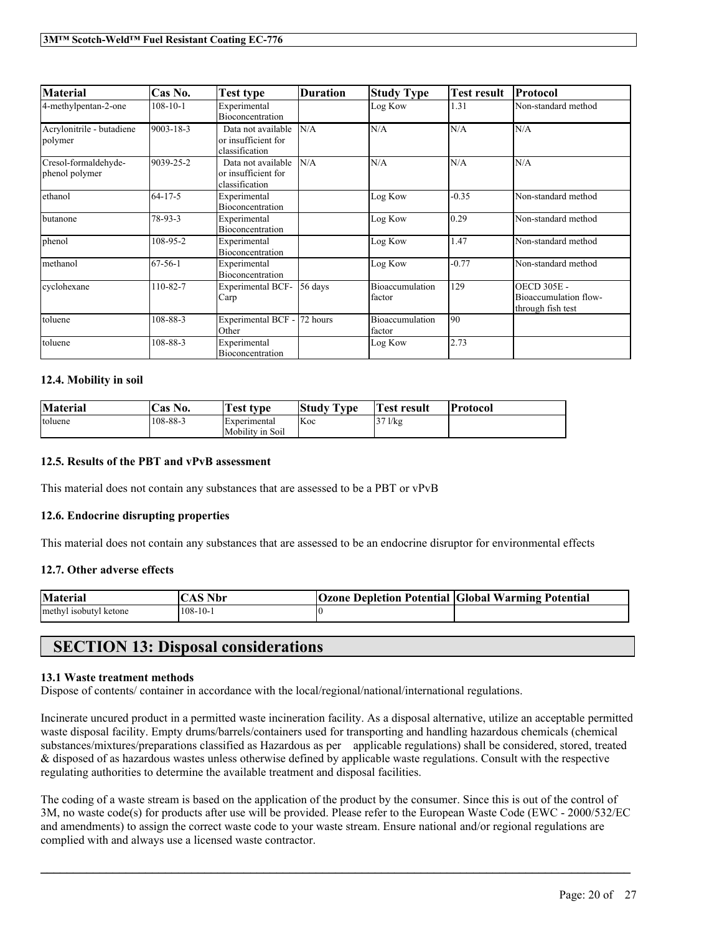| <b>Material</b>                        | Cas No.        | Test type                                                   | <b>Duration</b> | <b>Study Type</b>         | <b>Test result</b> | <b>Protocol</b>                                                  |
|----------------------------------------|----------------|-------------------------------------------------------------|-----------------|---------------------------|--------------------|------------------------------------------------------------------|
| 4-methylpentan-2-one                   | $108 - 10 - 1$ | Experimental<br>Bioconcentration                            |                 | Log Kow                   | 1.31               | Non-standard method                                              |
| Acrylonitrile - butadiene<br>polymer   | 9003-18-3      | Data not available<br>or insufficient for<br>classification | N/A             | N/A                       | N/A                | N/A                                                              |
| Cresol-formaldehyde-<br>phenol polymer | 9039-25-2      | Data not available<br>or insufficient for<br>classification | N/A             | N/A                       | N/A                | N/A                                                              |
| ethanol                                | $64 - 17 - 5$  | Experimental<br>Bioconcentration                            |                 | Log Kow                   | $-0.35$            | Non-standard method                                              |
| butanone                               | 78-93-3        | Experimental<br>Bioconcentration                            |                 | Log Kow                   | 0.29               | Non-standard method                                              |
| phenol                                 | 108-95-2       | Experimental<br>Bioconcentration                            |                 | Log Kow                   | 1.47               | Non-standard method                                              |
| methanol                               | $67 - 56 - 1$  | Experimental<br>Bioconcentration                            |                 | Log Kow                   | $-0.77$            | Non-standard method                                              |
| cyclohexane                            | 110-82-7       | <b>Experimental BCF-</b><br>Carp                            | 56 days         | Bioaccumulation<br>factor | 129                | <b>OECD 305E -</b><br>Bioaccumulation flow-<br>through fish test |
| toluene                                | 108-88-3       | Experimental BCF -<br>Other                                 | 72 hours        | Bioaccumulation<br>factor | 90                 |                                                                  |
| toluene                                | 108-88-3       | Experimental<br>Bioconcentration                            |                 | Log Kow                   | 2.73               |                                                                  |

## **12.4. Mobility in soil**

| <b>Material</b> | 'Cas No. | <b>Test type</b>    | Study Type | <b>Test result</b> | Protocol |
|-----------------|----------|---------------------|------------|--------------------|----------|
| toluene         | 108-88-3 | <i>Experimental</i> | Koc        | $37$ $1$ / $kg$    |          |
|                 |          | Mobility in Soil    |            |                    |          |

## **12.5. Results of the PBT and vPvB assessment**

This material does not contain any substances that are assessed to be a PBT or vPvB

## **12.6. Endocrine disrupting properties**

This material does not contain any substances that are assessed to be an endocrine disruptor for environmental effects

# **12.7. Other adverse effects**

| <b>Material</b>        | Nbr<br>. A 5 | <b>Ozone Depletion Potential Global Warming Potential</b> |
|------------------------|--------------|-----------------------------------------------------------|
| methyl isobutyl ketone | $108-10-1$   |                                                           |

# **SECTION 13: Disposal considerations**

#### **13.1 Waste treatment methods**

Dispose of contents/ container in accordance with the local/regional/national/international regulations.

Incinerate uncured product in a permitted waste incineration facility. As a disposal alternative, utilize an acceptable permitted waste disposal facility. Empty drums/barrels/containers used for transporting and handling hazardous chemicals (chemical substances/mixtures/preparations classified as Hazardous as per applicable regulations) shall be considered, stored, treated & disposed of as hazardous wastes unless otherwise defined by applicable waste regulations. Consult with the respective regulating authorities to determine the available treatment and disposal facilities.

The coding of a waste stream is based on the application of the product by the consumer. Since this is out of the control of 3M, no waste code(s) for products after use will be provided. Please refer to the European Waste Code (EWC - 2000/532/EC and amendments) to assign the correct waste code to your waste stream. Ensure national and/or regional regulations are complied with and always use a licensed waste contractor.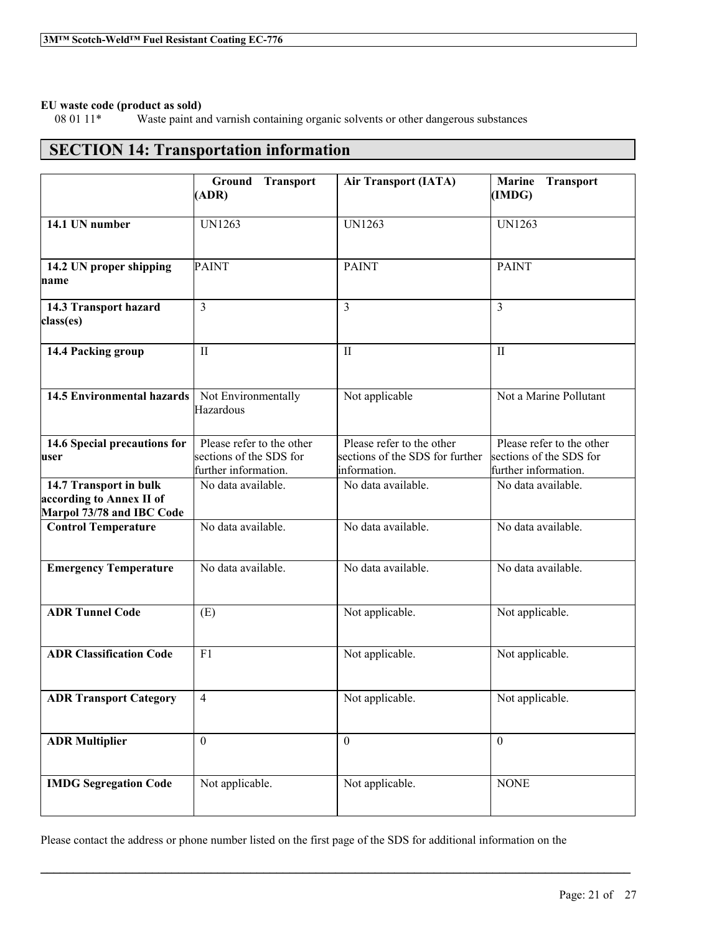# **EU waste code (product as sold)**

Waste paint and varnish containing organic solvents or other dangerous substances

# **SECTION 14: Transportation information**

|                                                                                 | Ground Transport<br>(ADR)                                                    | <b>Air Transport (IATA)</b>                                                  | <b>Marine Transport</b><br>(IMDG)                                            |
|---------------------------------------------------------------------------------|------------------------------------------------------------------------------|------------------------------------------------------------------------------|------------------------------------------------------------------------------|
| 14.1 UN number                                                                  | <b>UN1263</b>                                                                | <b>UN1263</b>                                                                | <b>UN1263</b>                                                                |
| 14.2 UN proper shipping<br>name                                                 | <b>PAINT</b>                                                                 | <b>PAINT</b>                                                                 | <b>PAINT</b>                                                                 |
| 14.3 Transport hazard<br>class(es)                                              | 3                                                                            | $\overline{3}$                                                               | $\overline{3}$                                                               |
| 14.4 Packing group                                                              | $\mathbf{I}$                                                                 | $\mathbf{I}$                                                                 | $\mathbf{I}$                                                                 |
| <b>14.5 Environmental hazards</b>                                               | Not Environmentally<br>Hazardous                                             | Not applicable                                                               | Not a Marine Pollutant                                                       |
| 14.6 Special precautions for<br>user                                            | Please refer to the other<br>sections of the SDS for<br>further information. | Please refer to the other<br>sections of the SDS for further<br>information. | Please refer to the other<br>sections of the SDS for<br>further information. |
| 14.7 Transport in bulk<br>according to Annex II of<br>Marpol 73/78 and IBC Code | No data available.                                                           | No data available.                                                           | No data available.                                                           |
| <b>Control Temperature</b>                                                      | No data available.                                                           | No data available.                                                           | No data available.                                                           |
| <b>Emergency Temperature</b>                                                    | No data available.                                                           | No data available.                                                           | No data available.                                                           |
| <b>ADR Tunnel Code</b>                                                          | (E)                                                                          | Not applicable.                                                              | Not applicable.                                                              |
| <b>ADR Classification Code</b>                                                  | F1                                                                           | Not applicable.                                                              | Not applicable.                                                              |
| <b>ADR Transport Category</b>                                                   | $\overline{4}$                                                               | Not applicable.                                                              | Not applicable.                                                              |
| <b>ADR Multiplier</b>                                                           | $\mathbf{0}$                                                                 | $\mathbf{0}$                                                                 | $\mathbf{0}$                                                                 |
| <b>IMDG Segregation Code</b>                                                    | Not applicable.                                                              | Not applicable.                                                              | <b>NONE</b>                                                                  |

Please contact the address or phone number listed on the first page of the SDS for additional information on the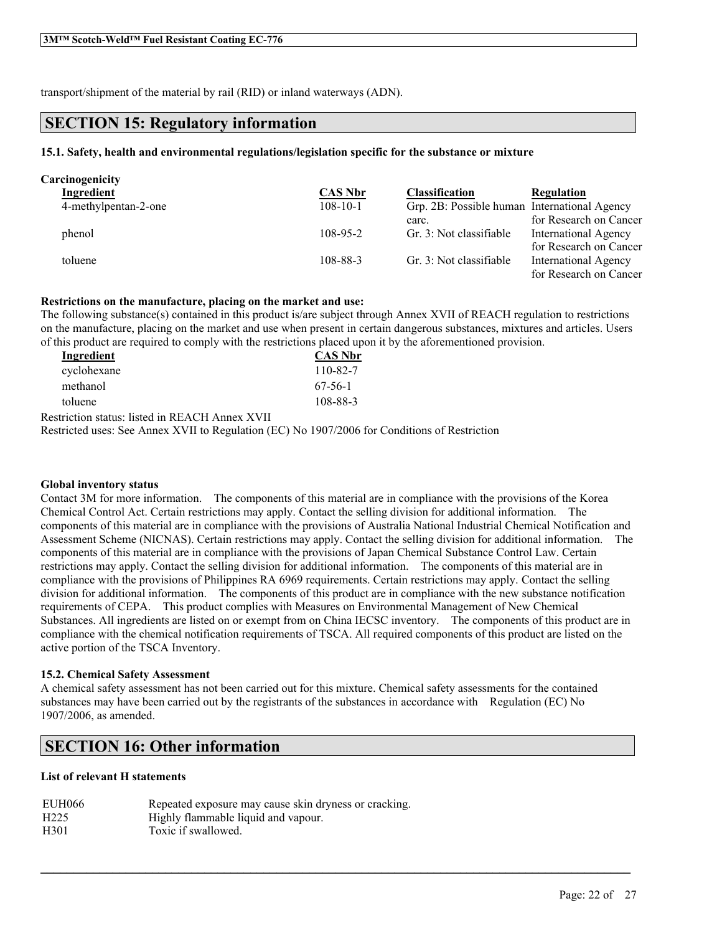transport/shipment of the material by rail (RID) or inland waterways (ADN).

# **SECTION 15: Regulatory information**

# **15.1. Safety, health and environmental regulations/legislation specific for the substance or mixture**

| Carcinogenicity      |                |                                              |                             |
|----------------------|----------------|----------------------------------------------|-----------------------------|
| Ingredient           | <b>CAS Nbr</b> | <b>Classification</b>                        | <b>Regulation</b>           |
| 4-methylpentan-2-one | $108 - 10 - 1$ | Grp. 2B: Possible human International Agency |                             |
|                      |                | carc.                                        | for Research on Cancer      |
| phenol               | $108 - 95 - 2$ | Gr. 3: Not classifiable                      | <b>International Agency</b> |
|                      |                |                                              | for Research on Cancer      |
| toluene              | 108-88-3       | Gr. 3: Not classifiable                      | <b>International Agency</b> |
|                      |                |                                              | for Research on Cancer      |

# **Restrictions on the manufacture, placing on the market and use:**

The following substance(s) contained in this product is/are subject through Annex XVII of REACH regulation to restrictions on the manufacture, placing on the market and use when present in certain dangerous substances, mixtures and articles. Users of this product are required to comply with the restrictions placed upon it by the aforementioned provision.

| <b>CAS Nbr</b> |
|----------------|
| 110-82-7       |
| $67-56-1$      |
| 108-88-3       |
|                |

Restriction status: listed in REACH Annex XVII

Restricted uses: See Annex XVII to Regulation (EC) No 1907/2006 for Conditions of Restriction

## **Global inventory status**

Contact 3M for more information. The components of this material are in compliance with the provisions of the Korea Chemical Control Act. Certain restrictions may apply. Contact the selling division for additional information. The components of this material are in compliance with the provisions of Australia National Industrial Chemical Notification and Assessment Scheme (NICNAS). Certain restrictions may apply. Contact the selling division for additional information. The components of this material are in compliance with the provisions of Japan Chemical Substance Control Law. Certain restrictions may apply. Contact the selling division for additional information. The components of this material are in compliance with the provisions of Philippines RA 6969 requirements. Certain restrictions may apply. Contact the selling division for additional information. The components of this product are in compliance with the new substance notification requirements of CEPA. This product complies with Measures on Environmental Management of New Chemical Substances. All ingredients are listed on or exempt from on China IECSC inventory. The components of this product are in compliance with the chemical notification requirements of TSCA. All required components of this product are listed on the active portion of the TSCA Inventory.

## **15.2. Chemical Safety Assessment**

A chemical safety assessment has not been carried out for this mixture. Chemical safety assessments for the contained substances may have been carried out by the registrants of the substances in accordance with Regulation (EC) No 1907/2006, as amended.

 $\mathcal{L}_\mathcal{L} = \mathcal{L}_\mathcal{L} = \mathcal{L}_\mathcal{L} = \mathcal{L}_\mathcal{L} = \mathcal{L}_\mathcal{L} = \mathcal{L}_\mathcal{L} = \mathcal{L}_\mathcal{L} = \mathcal{L}_\mathcal{L} = \mathcal{L}_\mathcal{L} = \mathcal{L}_\mathcal{L} = \mathcal{L}_\mathcal{L} = \mathcal{L}_\mathcal{L} = \mathcal{L}_\mathcal{L} = \mathcal{L}_\mathcal{L} = \mathcal{L}_\mathcal{L} = \mathcal{L}_\mathcal{L} = \mathcal{L}_\mathcal{L}$ 

# **SECTION 16: Other information**

## **List of relevant H statements**

| EUH066           | Repeated exposure may cause skin dryness or cracking. |
|------------------|-------------------------------------------------------|
| H <sub>225</sub> | Highly flammable liquid and vapour.                   |
| H <sub>301</sub> | Toxic if swallowed.                                   |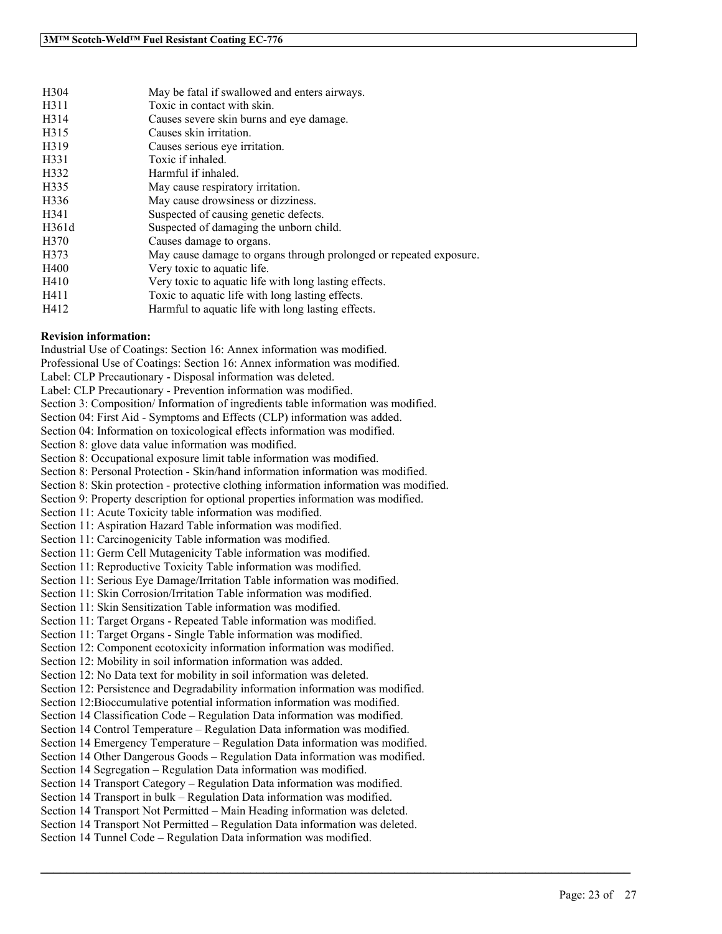| H <sub>304</sub> | May be fatal if swallowed and enters airways.                      |
|------------------|--------------------------------------------------------------------|
| H311             | Toxic in contact with skin.                                        |
| H314             | Causes severe skin burns and eye damage.                           |
| H315             | Causes skin irritation.                                            |
| H319             | Causes serious eve irritation.                                     |
| H331             | Toxic if inhaled.                                                  |
| H332             | Harmful if inhaled.                                                |
| H335             | May cause respiratory irritation.                                  |
| H336             | May cause drowsiness or dizziness.                                 |
| H341             | Suspected of causing genetic defects.                              |
| H361d            | Suspected of damaging the unborn child.                            |
| H <sub>370</sub> | Causes damage to organs.                                           |
| H373             | May cause damage to organs through prolonged or repeated exposure. |
| H400             | Very toxic to aquatic life.                                        |
| H410             | Very toxic to aquatic life with long lasting effects.              |
| H411             | Toxic to aquatic life with long lasting effects.                   |
| H412             | Harmful to aquatic life with long lasting effects.                 |

#### **Revision information:**

Industrial Use of Coatings: Section 16: Annex information was modified. Professional Use of Coatings: Section 16: Annex information was modified. Label: CLP Precautionary - Disposal information was deleted. Label: CLP Precautionary - Prevention information was modified. Section 3: Composition/ Information of ingredients table information was modified. Section 04: First Aid - Symptoms and Effects (CLP) information was added. Section 04: Information on toxicological effects information was modified. Section 8: glove data value information was modified. Section 8: Occupational exposure limit table information was modified. Section 8: Personal Protection - Skin/hand information information was modified. Section 8: Skin protection - protective clothing information information was modified. Section 9: Property description for optional properties information was modified. Section 11: Acute Toxicity table information was modified. Section 11: Aspiration Hazard Table information was modified. Section 11: Carcinogenicity Table information was modified. Section 11: Germ Cell Mutagenicity Table information was modified. Section 11: Reproductive Toxicity Table information was modified. Section 11: Serious Eye Damage/Irritation Table information was modified. Section 11: Skin Corrosion/Irritation Table information was modified. Section 11: Skin Sensitization Table information was modified. Section 11: Target Organs - Repeated Table information was modified. Section 11: Target Organs - Single Table information was modified. Section 12: Component ecotoxicity information information was modified. Section 12: Mobility in soil information information was added. Section 12: No Data text for mobility in soil information was deleted. Section 12: Persistence and Degradability information information was modified. Section 12:Bioccumulative potential information information was modified. Section 14 Classification Code – Regulation Data information was modified. Section 14 Control Temperature – Regulation Data information was modified. Section 14 Emergency Temperature – Regulation Data information was modified. Section 14 Other Dangerous Goods – Regulation Data information was modified. Section 14 Segregation – Regulation Data information was modified. Section 14 Transport Category – Regulation Data information was modified. Section 14 Transport in bulk – Regulation Data information was modified. Section 14 Transport Not Permitted – Main Heading information was deleted. Section 14 Transport Not Permitted – Regulation Data information was deleted. Section 14 Tunnel Code – Regulation Data information was modified.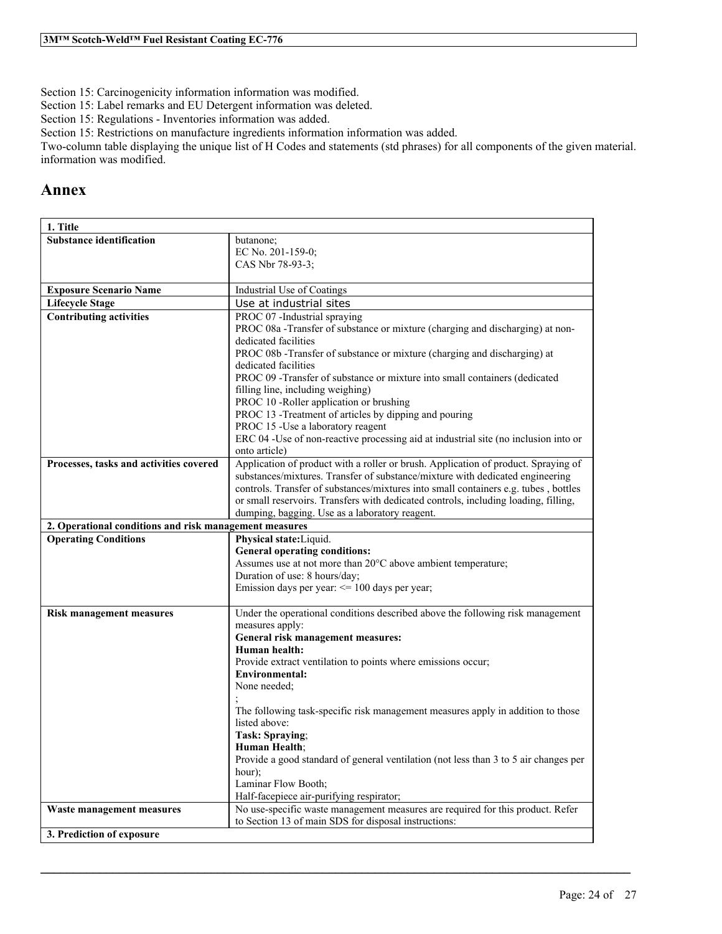Section 15: Carcinogenicity information information was modified.

Section 15: Label remarks and EU Detergent information was deleted.

Section 15: Regulations - Inventories information was added.

Section 15: Restrictions on manufacture ingredients information information was added.

Two-column table displaying the unique list of H Codes and statements (std phrases) for all components of the given material. information was modified.

# **Annex**

| 1. Title                                               |                                                                                                                                                                      |
|--------------------------------------------------------|----------------------------------------------------------------------------------------------------------------------------------------------------------------------|
| <b>Substance identification</b>                        | butanone;                                                                                                                                                            |
|                                                        | EC No. 201-159-0;                                                                                                                                                    |
|                                                        | CAS Nbr 78-93-3;                                                                                                                                                     |
| <b>Exposure Scenario Name</b>                          | Industrial Use of Coatings                                                                                                                                           |
| <b>Lifecycle Stage</b>                                 | Use at industrial sites                                                                                                                                              |
| <b>Contributing activities</b>                         | PROC 07 -Industrial spraying                                                                                                                                         |
|                                                        | PROC 08a - Transfer of substance or mixture (charging and discharging) at non-                                                                                       |
|                                                        | dedicated facilities                                                                                                                                                 |
|                                                        | PROC 08b - Transfer of substance or mixture (charging and discharging) at                                                                                            |
|                                                        | dedicated facilities<br>PROC 09 - Transfer of substance or mixture into small containers (dedicated                                                                  |
|                                                        | filling line, including weighing)                                                                                                                                    |
|                                                        | PROC 10 -Roller application or brushing                                                                                                                              |
|                                                        | PROC 13 -Treatment of articles by dipping and pouring                                                                                                                |
|                                                        | PROC 15 - Use a laboratory reagent                                                                                                                                   |
|                                                        | ERC 04 -Use of non-reactive processing aid at industrial site (no inclusion into or                                                                                  |
|                                                        | onto article)                                                                                                                                                        |
| Processes, tasks and activities covered                | Application of product with a roller or brush. Application of product. Spraying of                                                                                   |
|                                                        | substances/mixtures. Transfer of substance/mixture with dedicated engineering<br>controls. Transfer of substances/mixtures into small containers e.g. tubes, bottles |
|                                                        | or small reservoirs. Transfers with dedicated controls, including loading, filling,                                                                                  |
|                                                        | dumping, bagging. Use as a laboratory reagent.                                                                                                                       |
| 2. Operational conditions and risk management measures |                                                                                                                                                                      |
|                                                        |                                                                                                                                                                      |
| <b>Operating Conditions</b>                            | Physical state: Liquid.                                                                                                                                              |
|                                                        | <b>General operating conditions:</b>                                                                                                                                 |
|                                                        | Assumes use at not more than 20°C above ambient temperature;                                                                                                         |
|                                                        | Duration of use: 8 hours/day;                                                                                                                                        |
|                                                        | Emission days per year: $\leq$ 100 days per year;                                                                                                                    |
| <b>Risk management measures</b>                        | Under the operational conditions described above the following risk management                                                                                       |
|                                                        | measures apply:                                                                                                                                                      |
|                                                        | General risk management measures:                                                                                                                                    |
|                                                        | Human health:                                                                                                                                                        |
|                                                        | Provide extract ventilation to points where emissions occur;                                                                                                         |
|                                                        | Environmental:                                                                                                                                                       |
|                                                        | None needed;                                                                                                                                                         |
|                                                        | The following task-specific risk management measures apply in addition to those                                                                                      |
|                                                        | listed above:                                                                                                                                                        |
|                                                        | Task: Spraying;                                                                                                                                                      |
|                                                        | Human Health;                                                                                                                                                        |
|                                                        | Provide a good standard of general ventilation (not less than 3 to 5 air changes per                                                                                 |
|                                                        | hour);                                                                                                                                                               |
|                                                        | Laminar Flow Booth;<br>Half-facepiece air-purifying respirator;                                                                                                      |
| Waste management measures                              | No use-specific waste management measures are required for this product. Refer                                                                                       |
| 3. Prediction of exposure                              | to Section 13 of main SDS for disposal instructions:                                                                                                                 |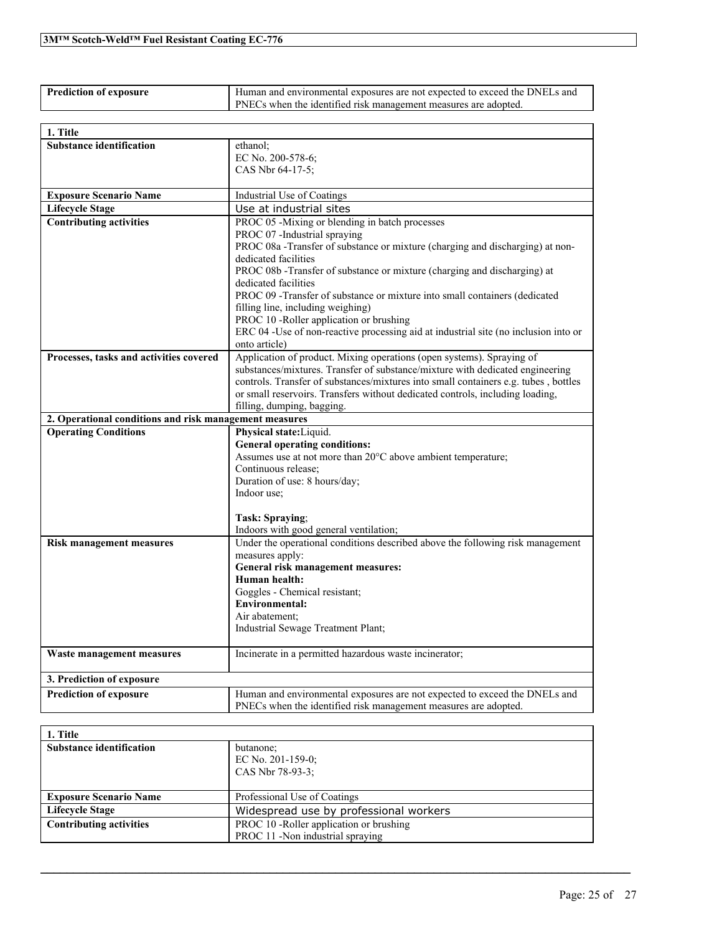| <b>Prediction of exposure</b> | Human and environmental exposures are not expected to exceed the DNELs and |  |
|-------------------------------|----------------------------------------------------------------------------|--|
|                               | <b>PNECs</b> when the identified risk management measures are adopted.     |  |

| 1. Title                                                                              |                                                                                                                 |
|---------------------------------------------------------------------------------------|-----------------------------------------------------------------------------------------------------------------|
| <b>Substance identification</b>                                                       | ethanol:                                                                                                        |
|                                                                                       | EC No. 200-578-6;                                                                                               |
|                                                                                       | CAS Nbr 64-17-5;                                                                                                |
| <b>Exposure Scenario Name</b>                                                         | Industrial Use of Coatings                                                                                      |
| <b>Lifecycle Stage</b>                                                                | Use at industrial sites                                                                                         |
| <b>Contributing activities</b>                                                        | PROC 05 -Mixing or blending in batch processes                                                                  |
|                                                                                       | PROC 07 -Industrial spraying                                                                                    |
|                                                                                       | PROC 08a - Transfer of substance or mixture (charging and discharging) at non-                                  |
|                                                                                       | dedicated facilities                                                                                            |
|                                                                                       | PROC 08b -Transfer of substance or mixture (charging and discharging) at                                        |
|                                                                                       | dedicated facilities                                                                                            |
|                                                                                       | PROC 09 -Transfer of substance or mixture into small containers (dedicated<br>filling line, including weighing) |
|                                                                                       | PROC 10 -Roller application or brushing                                                                         |
|                                                                                       | ERC 04 -Use of non-reactive processing aid at industrial site (no inclusion into or                             |
|                                                                                       | onto article)                                                                                                   |
| Processes, tasks and activities covered                                               | Application of product. Mixing operations (open systems). Spraying of                                           |
|                                                                                       | substances/mixtures. Transfer of substance/mixture with dedicated engineering                                   |
|                                                                                       | controls. Transfer of substances/mixtures into small containers e.g. tubes, bottles                             |
|                                                                                       | or small reservoirs. Transfers without dedicated controls, including loading,                                   |
|                                                                                       | filling, dumping, bagging.                                                                                      |
| 2. Operational conditions and risk management measures<br><b>Operating Conditions</b> | Physical state: Liquid.                                                                                         |
|                                                                                       | <b>General operating conditions:</b>                                                                            |
|                                                                                       | Assumes use at not more than 20°C above ambient temperature;                                                    |
|                                                                                       | Continuous release;                                                                                             |
|                                                                                       | Duration of use: 8 hours/day;                                                                                   |
|                                                                                       | Indoor use;                                                                                                     |
|                                                                                       |                                                                                                                 |
|                                                                                       | Task: Spraying;                                                                                                 |
|                                                                                       | Indoors with good general ventilation;                                                                          |
| <b>Risk management measures</b>                                                       | Under the operational conditions described above the following risk management<br>measures apply:               |
|                                                                                       | General risk management measures:                                                                               |
|                                                                                       | Human health:                                                                                                   |
|                                                                                       | Goggles - Chemical resistant;                                                                                   |
|                                                                                       | <b>Environmental:</b>                                                                                           |
|                                                                                       | Air abatement:                                                                                                  |
|                                                                                       | Industrial Sewage Treatment Plant;                                                                              |
| Waste management measures                                                             | Incinerate in a permitted hazardous waste incinerator;                                                          |
| 3. Prediction of exposure                                                             |                                                                                                                 |
| <b>Prediction of exposure</b>                                                         | Human and environmental exposures are not expected to exceed the DNELs and                                      |
|                                                                                       | PNECs when the identified risk management measures are adopted.                                                 |

| 1. Title                        |                                          |
|---------------------------------|------------------------------------------|
| <b>Substance identification</b> | butanone;                                |
|                                 | EC No. $201-159-0$ ;                     |
|                                 | CAS Nbr 78-93-3:                         |
|                                 |                                          |
| <b>Exposure Scenario Name</b>   | Professional Use of Coatings             |
| <b>Lifecycle Stage</b>          | Widespread use by professional workers   |
| <b>Contributing activities</b>  | PROC 10 - Roller application or brushing |
|                                 | PROC 11 -Non industrial spraying         |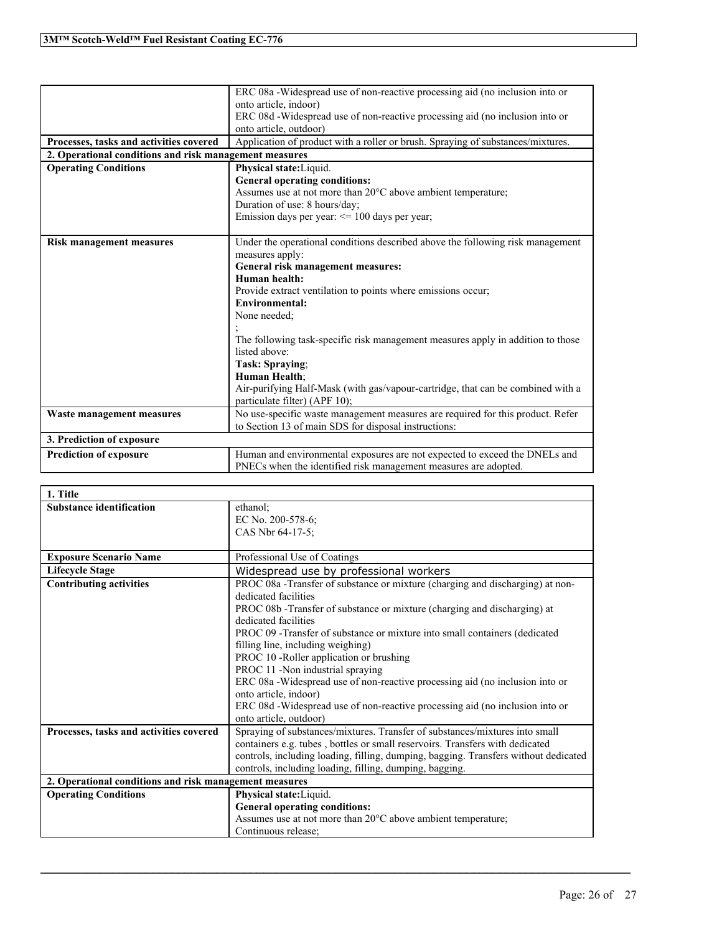|                                                        | ERC 08a -Widespread use of non-reactive processing aid (no inclusion into or    |
|--------------------------------------------------------|---------------------------------------------------------------------------------|
|                                                        | onto article, indoor)                                                           |
|                                                        | ERC 08d -Widespread use of non-reactive processing aid (no inclusion into or    |
|                                                        | onto article, outdoor)                                                          |
| Processes, tasks and activities covered                | Application of product with a roller or brush. Spraying of substances/mixtures. |
| 2. Operational conditions and risk management measures |                                                                                 |
| <b>Operating Conditions</b>                            | Physical state: Liquid.                                                         |
|                                                        | <b>General operating conditions:</b>                                            |
|                                                        | Assumes use at not more than 20°C above ambient temperature;                    |
|                                                        | Duration of use: 8 hours/day;                                                   |
|                                                        | Emission days per year: <= 100 days per year;                                   |
|                                                        |                                                                                 |
| <b>Risk management measures</b>                        | Under the operational conditions described above the following risk management  |
|                                                        | measures apply:                                                                 |
|                                                        | General risk management measures:                                               |
|                                                        | Human health:                                                                   |
|                                                        | Provide extract ventilation to points where emissions occur;                    |
|                                                        | <b>Environmental:</b>                                                           |
|                                                        | None needed:                                                                    |
|                                                        |                                                                                 |
|                                                        | The following task-specific risk management measures apply in addition to those |
|                                                        | listed above:                                                                   |
|                                                        | Task: Spraying:                                                                 |
|                                                        | <b>Human Health:</b>                                                            |
|                                                        | Air-purifying Half-Mask (with gas/vapour-cartridge, that can be combined with a |
|                                                        | particulate filter) (APF 10);                                                   |
| Waste management measures                              | No use-specific waste management measures are required for this product. Refer  |
|                                                        | to Section 13 of main SDS for disposal instructions:                            |
| 3. Prediction of exposure                              |                                                                                 |
| <b>Prediction of exposure</b>                          | Human and environmental exposures are not expected to exceed the DNELs and      |
|                                                        | PNECs when the identified risk management measures are adopted.                 |
|                                                        |                                                                                 |

| 1. Title                                               |                                                                                                       |
|--------------------------------------------------------|-------------------------------------------------------------------------------------------------------|
| <b>Substance identification</b>                        | ethanol;<br>EC No. 200-578-6;                                                                         |
|                                                        | CAS Nbr 64-17-5;                                                                                      |
| <b>Exposure Scenario Name</b>                          | Professional Use of Coatings                                                                          |
| <b>Lifecycle Stage</b>                                 | Widespread use by professional workers                                                                |
| <b>Contributing activities</b>                         | PROC 08a - Transfer of substance or mixture (charging and discharging) at non-                        |
|                                                        | dedicated facilities                                                                                  |
|                                                        | PROC 08b - Transfer of substance or mixture (charging and discharging) at                             |
|                                                        | dedicated facilities                                                                                  |
|                                                        | PROC 09 - Transfer of substance or mixture into small containers (dedicated                           |
|                                                        | filling line, including weighing)                                                                     |
|                                                        | PROC 10 -Roller application or brushing                                                               |
|                                                        | PROC 11 -Non industrial spraying                                                                      |
|                                                        | ERC 08a -Widespread use of non-reactive processing aid (no inclusion into or<br>onto article, indoor) |
|                                                        | ERC 08d -Widespread use of non-reactive processing aid (no inclusion into or                          |
|                                                        | onto article, outdoor)                                                                                |
| Processes, tasks and activities covered                | Spraying of substances/mixtures. Transfer of substances/mixtures into small                           |
|                                                        | containers e.g. tubes, bottles or small reservoirs. Transfers with dedicated                          |
|                                                        | controls, including loading, filling, dumping, bagging. Transfers without dedicated                   |
|                                                        | controls, including loading, filling, dumping, bagging.                                               |
| 2. Operational conditions and risk management measures |                                                                                                       |
| <b>Operating Conditions</b>                            | Physical state: Liquid.                                                                               |
|                                                        | <b>General operating conditions:</b>                                                                  |
|                                                        | Assumes use at not more than 20°C above ambient temperature;                                          |
|                                                        | Continuous release;                                                                                   |